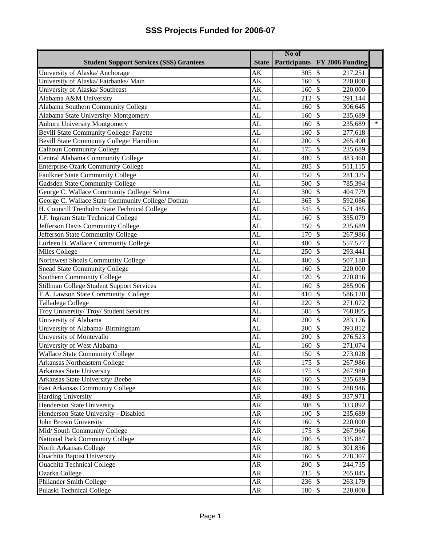|                                                   | No of                  |                              |                                      |  |
|---------------------------------------------------|------------------------|------------------------------|--------------------------------------|--|
| <b>Student Support Services (SSS) Grantees</b>    | <b>State</b>           | <b>Participants</b>          | FY 2006 Funding                      |  |
| University of Alaska/ Anchorage                   | AK                     | 305                          | $\overline{\mathcal{S}}$<br>217,251  |  |
| University of Alaska/Fairbanks/Main               | AK                     | 160                          | $\mathcal{S}$<br>220,000             |  |
| University of Alaska/ Southeast                   | AK                     | 160                          | $\overline{\mathbf{S}}$<br>220,000   |  |
| Alabama A&M University                            | AL                     | 212                          | $\mathcal{S}$<br>291,144             |  |
| Alabama Southern Community College                | AL                     | 160                          | $\mathcal{S}$<br>306,645             |  |
| Alabama State University/Montgomery               | AL                     | 160                          | $\mathcal{S}$<br>235,689             |  |
| <b>Auburn University Montgomery</b>               | AL                     | 160                          | $\ast$<br>$\mathcal{S}$<br>235,689   |  |
| Bevill State Community College/ Fayette           | AL                     | 160                          | 277,618<br>$\mathcal{S}$             |  |
| Bevill State Community College/ Hamilton          | AL                     | 200                          | 265,400<br>$\mathcal{S}$             |  |
| <b>Calhoun Community College</b>                  | AL                     | 175                          | \$<br>235,689                        |  |
| Central Alabama Community College                 | AL                     | 400                          | $\mathcal{S}$<br>483,460             |  |
| Enterprise-Ozark Community College                | AL                     | 285                          | $\mathcal{S}$<br>511,115             |  |
| <b>Faulkner State Community College</b>           | AL                     | 150                          | $\mathcal{S}$<br>281,325             |  |
| Gadsden State Community College                   | AL                     | 500                          | $\mathcal{S}$<br>785,394             |  |
| George C. Wallace Community College/ Selma        | $\overline{\text{AL}}$ | 300                          | $\overline{\mathcal{S}}$<br>404,779  |  |
| George C. Wallace State Community College/ Dothan | AL                     | 365                          | $\boldsymbol{\mathsf{S}}$<br>592,086 |  |
| H. Councill Trenholm State Technical College      | AL                     | 345                          | $\mathcal{S}$<br>571,485             |  |
| J.F. Ingram State Technical College               | AL                     | 160                          | $\mathcal{S}$<br>335,079             |  |
| Jefferson Davis Community College                 | AL                     | 150S                         | 235,689                              |  |
| Jefferson State Community College                 | AL                     | $\overline{170}$             | $\sqrt{S}$<br>267,986                |  |
| Lurleen B. Wallace Community College              | AL                     | 400                          | $\overline{\mathcal{S}}$<br>557,577  |  |
| Miles College                                     | AL                     | 250                          | $\mathcal{S}$<br>293,441             |  |
| Northwest Shoals Community College                | $\overline{\text{AL}}$ | 400                          | 507,180<br>$\mathcal{S}$             |  |
| <b>Snead State Community College</b>              | $\overline{AL}$        | 160                          | $\mathcal{S}$<br>220,000             |  |
| Southern Community College                        | AL                     | 120                          | $\mathcal{S}$<br>270,816             |  |
| Stillman College Student Support Services         | AL                     | 160                          | $\mathcal{S}$<br>285,906             |  |
| T.A. Lawson State Community College               | AL                     | 410                          | $\mathcal{S}$<br>586,120             |  |
| Talladega College                                 | AL                     | 220                          | $\overline{\mathcal{S}}$<br>271,072  |  |
| Troy University/Troy/Student Services             | AL                     | 505                          | $\mathcal{S}$<br>768,805             |  |
| University of Alabama                             | AL                     | 200                          | $\mathcal{S}$<br>283,176             |  |
| University of Alabama/ Birmingham                 | AL                     | 200                          | $\boldsymbol{\mathsf{S}}$<br>393,812 |  |
| University of Montevallo                          | $\overline{\text{AL}}$ | 200                          | $\mathcal{S}$<br>276,523             |  |
| University of West Alabama                        | AL                     | 160                          | \$<br>271,074                        |  |
| <b>Wallace State Community College</b>            | AL                     | $150\overline{\smash{)}\,5}$ | 273,028                              |  |
| Arkansas Northeastern College                     | AR                     | 175 \$                       | 267,986                              |  |
| Arkansas State University                         | AR                     | $175$ \$                     | 267,980                              |  |
| Arkansas State University/Beebe                   | AR                     | 160 \$                       | 235,689                              |  |
| East Arkansas Community College                   | AR                     | 200 \$                       | 288,946                              |  |
| <b>Harding University</b>                         | AR                     | 493 \$                       | 337,971                              |  |
| Henderson State University                        | AR                     | 308 \$                       | 333,892                              |  |
| Henderson State University - Disabled             | AR                     | $100 \text{ }$ \$            | 235,689                              |  |
| John Brown University                             | AR                     | 160 \$                       | 220,000                              |  |
| Mid/South Community College                       | AR                     | 175 \$                       | 267,966                              |  |
| National Park Community College                   | ${\sf AR}$             | 206 \$                       | 335,887                              |  |
| North Arkansas College                            | AR                     | 180 \$                       | 301,836                              |  |
| <b>Ouachita Baptist University</b>                | AR                     | 160                          | $\sqrt{S}$<br>278,307                |  |
| <b>Ouachita Technical College</b>                 | ${\sf AR}$             | 200 \$                       | 244,735                              |  |
| Ozarka College                                    | AR                     | 215S                         | 265,045                              |  |
| Philander Smith College                           | AR                     | 236 \$                       | 263,179                              |  |
| Pulaski Technical College                         | AR                     | 180 \$                       | 220,000                              |  |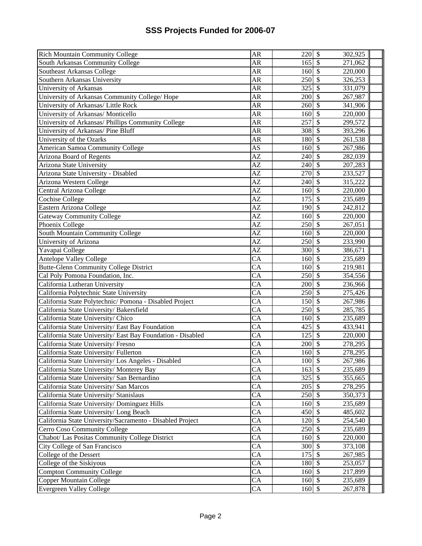| <b>Rich Mountain Community College</b>                      | AR                     | $220 \, \text{S}$        | 302,925                             |
|-------------------------------------------------------------|------------------------|--------------------------|-------------------------------------|
| South Arkansas Community College                            | AR                     | 165                      | 271,062<br>  \$                     |
| Southeast Arkansas College                                  | AR                     | 160                      | <sup>5</sup><br>220,000             |
| Southern Arkansas University                                | ${\sf AR}$             | 250                      | $\mathsf{S}$<br>326,253             |
| University of Arkansas                                      | AR                     | 325                      | $\overline{\mathbf{S}}$<br>331,079  |
| University of Arkansas Community College/ Hope              | AR                     | 200                      | $\overline{\mathbf{S}}$<br>267,987  |
| University of Arkansas/ Little Rock                         | <b>AR</b>              | 260                      | $\mathcal{S}$<br>341,906            |
| University of Arkansas/Monticello                           | AR                     | 160                      | $\mathcal{S}$<br>220,000            |
| University of Arkansas/ Phillips Community College          | AR                     | 257                      | $\mathcal{S}$<br>299,572            |
| University of Arkansas/ Pine Bluff                          | AR                     | 308                      | $\mathcal{S}$<br>393,296            |
| University of the Ozarks                                    | <b>AR</b>              | 180                      | $\mathcal{S}$<br>261,538            |
| American Samoa Community College                            | AS                     | 160                      | $\mathcal{S}$<br>267,986            |
| Arizona Board of Regents                                    | $\overline{AZ}$        | 240                      | <sup>5</sup><br>282,039             |
| Arizona State University                                    | $\overline{AZ}$        | $240\overline{\text{S}}$ | 207,283                             |
| Arizona State University - Disabled                         | AZ                     | $270 \text{ s}$          | 233,527                             |
| Arizona Western College                                     | AZ                     | $240 \,$ \$              | 315,222                             |
| Central Arizona College                                     | AZ                     | 160                      | <sup>5</sup><br>220,000             |
| Cochise College                                             | AZ                     | 175                      | <b>S</b><br>235,689                 |
| Eastern Arizona College                                     | AZ                     | 190                      | 242,812<br>  \$                     |
| Gateway Community College                                   | AZ                     | 160                      | $\mathcal{S}$<br>220,000            |
| Phoenix College                                             | AZ                     | 250                      | 267,051<br>$\mathcal{S}$            |
| South Mountain Community College                            | AZ                     | 160                      | $\overline{\mathbf{S}}$<br>220,000  |
| University of Arizona                                       | $\mathbf{A}\mathbf{Z}$ | 250                      | $\mathcal{S}$<br>233,990            |
| Yavapai College                                             | AZ                     | 300                      | \$<br>386,671                       |
| Antelope Valley College                                     | $\overline{CA}$        | 160                      | $\mathcal{S}$<br>235,689            |
| Butte-Glenn Community College District                      | $\overline{\text{CA}}$ | 160                      | $\overline{\mathcal{S}}$<br>219,981 |
| Cal Poly Pomona Foundation, Inc.                            | $\overline{\text{CA}}$ | 250                      | $\mathcal{S}$<br>354,556            |
| California Lutheran University                              | $\overline{\text{CA}}$ | 200                      | $\mathcal{S}$<br>236,966            |
| California Polytechnic State University                     | $\overline{\text{CA}}$ | 250                      | $\overline{\mathbf{S}}$<br>275,426  |
| California State Polytechnic/ Pomona - Disabled Project     | $\overline{\text{CA}}$ | 150S                     | 267,986                             |
| California State University/Bakersfield                     | $\overline{\text{CA}}$ | $250 \, \text{S}$        | 285,785                             |
| California State University/ Chico                          | $\overline{\text{CA}}$ | 160                      | $\vert$ \$<br>235,689               |
| California State University/ East Bay Foundation            | CA                     | $425 \,$ \$              | 433,941                             |
| California State University/ East Bay Foundation - Disabled | $\overline{CA}$        | $125 \,$ \$              | 220,000                             |
| California State University/ Fresno                         | CA                     | 200                      | $\mathcal{S}$<br>278,295            |
| California State University/Fullerton                       | CA                     | 160                      | -\$<br>278,295                      |
| California State University/ Los Angeles - Disabled         | CA                     | 100 \$                   | 267,986                             |
| California State University/ Monterey Bay                   | $\overline{CA}$        | 163S                     | 235,689                             |
| California State University/ San Bernardino                 | CA                     | $325 \,$ \$              | 355,665                             |
| California State University/ San Marcos                     | CA                     | $205 \text{ }$ \$        | 278,295                             |
| California State University/ Stanislaus                     | CA                     | 250 \$                   | 350,373                             |
| California State University/ Dominguez Hills                | CA                     | 160S                     | 235,689                             |
| California State University/ Long Beach                     | $\overline{CA}$        | 450 \$                   | 485,602                             |
| California State University/Sacramento - Disabled Project   | $\overline{CA}$        | 120S                     | 254,540                             |
| Cerro Coso Community College                                | $\overline{CA}$        | 250 \$                   | 235,689                             |
| Chabot/ Las Positas Community College District              | CA                     | 160 \$                   | 220,000                             |
| City College of San Francisco                               | $\overline{CA}$        | 300 \$                   | 373,108                             |
| College of the Dessert                                      | CA                     | 175 \$                   | 267,985                             |
| College of the Siskiyous                                    | CA                     | 180 \$                   | 253,057                             |
| <b>Compton Community College</b>                            | CA                     | 160S                     | 217,899                             |
| Copper Mountain College                                     | CA                     | 160 \$                   | 235,689                             |
| <b>Evergreen Valley College</b>                             | CA                     | 160 \$                   | 267,878                             |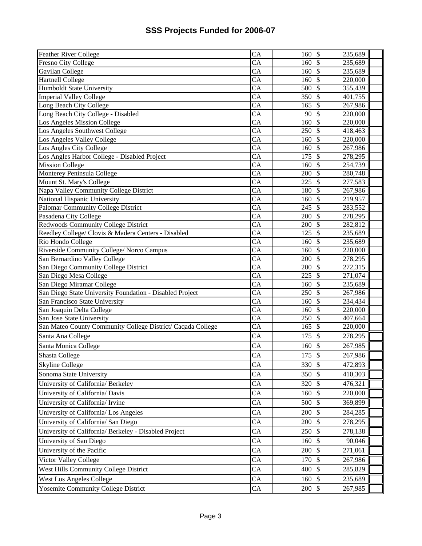| <b>Feather River College</b>                                | CA                     | 160S                        | 235,689                             |  |
|-------------------------------------------------------------|------------------------|-----------------------------|-------------------------------------|--|
| <b>Fresno City College</b>                                  | <b>CA</b>              | 160 \$                      | 235,689                             |  |
| Gavilan College                                             | CA                     | 160S                        | 235,689                             |  |
| <b>Hartnell College</b>                                     | $\overline{CA}$        | 160                         | $\mathcal{S}$<br>220,000            |  |
| <b>Humboldt State University</b>                            | CA                     | 500 \$                      | 355,439                             |  |
| <b>Imperial Valley College</b>                              | $\overline{CA}$        | $350$ \$                    | 401,755                             |  |
| Long Beach City College                                     | CA                     | 165                         | $\mathcal{S}$<br>267,986            |  |
| Long Beach City College - Disabled                          | CA                     | $90\overline{\smash{5}}$    | 220,000                             |  |
| Los Angeles Mission College                                 | $\overline{CA}$        | 160                         | $\mathcal{S}$<br>220,000            |  |
| Los Angeles Southwest College                               | CA                     | 250                         | $\mathcal{S}$<br>418,463            |  |
| Los Angeles Valley College                                  | $\overline{\text{CA}}$ | 160                         | $\mathcal{S}$<br>220,000            |  |
| Los Angles City College                                     | $\overline{\text{CA}}$ | 160                         | $\mathcal{S}$<br>267,986            |  |
| Los Angles Harbor College - Disabled Project                | $\overline{\text{CA}}$ | 175                         | $\mathcal{S}$<br>278,295            |  |
| <b>Mission College</b>                                      | $\overline{\text{CA}}$ | 160                         | $\overline{\mathcal{S}}$<br>254,739 |  |
| Monterey Peninsula College                                  | $\overline{CA}$        | $200 \text{ s}$             | 280,748                             |  |
| Mount St. Mary's College                                    | CA                     | $225\overline{\smash{)}\,}$ | 277,583                             |  |
| Napa Valley Community College District                      | CA                     | 180 \$                      | 267,986                             |  |
| National Hispanic University                                | CA                     | 160                         | $\mathcal{S}$<br>219,957            |  |
| Palomar Community College District                          | $\overline{CA}$        | 245                         | 283,552<br>-\$                      |  |
| Pasadena City College                                       | CA                     | 200                         | $\mathcal{S}$<br>278,295            |  |
| Redwoods Community College District                         | CA                     | 200                         | $\mathcal{S}$<br>282,812            |  |
| Reedley College/ Clovis & Madera Centers - Disabled         | CA                     |                             | 235,689                             |  |
| Rio Hondo College                                           | $\overline{CA}$        | $160\overline{\smash{5}}$   | 235,689                             |  |
| Riverside Community College/ Norco Campus                   | CA                     | 160                         | $\mathcal{S}$<br>220,000            |  |
| San Bernardino Valley College                               | $\overline{CA}$        | 200                         | $\mathcal{S}$<br>278,295            |  |
| San Diego Community College District                        | $\overline{CA}$        | 200                         | $\mathcal{S}$<br>272,315            |  |
| San Diego Mesa College                                      | $\overline{CA}$        | 225                         | $\mathcal{S}$<br>271,074            |  |
| San Diego Miramar College                                   | $\overline{\text{CA}}$ | 160                         | 235,689<br>$\mathcal{S}$            |  |
| San Diego State University Foundation - Disabled Project    | $\overline{\text{CA}}$ | 250                         | $\overline{\mathcal{S}}$<br>267,986 |  |
| San Francisco State University                              | $\overline{\text{CA}}$ | 160                         | $\mathcal{S}$<br>234,434            |  |
| San Joaquin Delta College                                   | $\overline{CA}$        | $160$ \$                    | 220,000                             |  |
| San Jose State University                                   | $\overline{\text{CA}}$ | $250 \, \text{S}$           | 407,664                             |  |
| San Mateo County Community College District/ Caqada College | CA                     | 165S                        | 220,000                             |  |
| Santa Ana College                                           | CA                     | 175                         | $\mathcal{S}$<br>278,295            |  |
| Santa Monica College                                        | CA                     | 160                         | 267,985<br>$\mathcal{S}$            |  |
| <b>Shasta College</b>                                       | CA                     | 175                         | $\mathcal{S}$<br>267,986            |  |
| <b>Skyline College</b>                                      | CA                     | 330 \$                      | 472,893                             |  |
| Sonoma State University                                     | CA                     | 350 \$                      | 410,303                             |  |
| University of California/ Berkeley                          | CA                     | 320 \$                      | 476,321                             |  |
| University of California/ Davis                             | CA                     | 160                         | $\mathcal{S}$<br>220,000            |  |
| University of California/ Irvine                            | CA                     | 500                         | $\mathcal{S}$<br>369,899            |  |
| University of California/ Los Angeles                       | CA                     | 200                         | $\mathcal{S}$<br>284,285            |  |
| University of California/ San Diego                         | ${\rm CA}$             | 200                         | $\sqrt{3}$<br>278,295               |  |
|                                                             |                        |                             |                                     |  |
| University of California/ Berkeley - Disabled Project       | CA                     | 250 \$                      | 278,138                             |  |
| University of San Diego                                     | CA                     | 160                         | $\mathcal{S}$<br>90,046             |  |
| University of the Pacific                                   | CA                     | 200                         | $\mathcal{S}$<br>271,061            |  |
| Victor Valley College                                       | CA                     | 170                         | $\mathcal{S}$<br>267,986            |  |
| West Hills Community College District                       | CA                     | 400 \$                      | 285,829                             |  |
| West Los Angeles College                                    | CA                     | 160                         | $\mathcal{S}$<br>235,689            |  |
| Yosemite Community College District                         | CA                     | 200 \$                      | 267,985                             |  |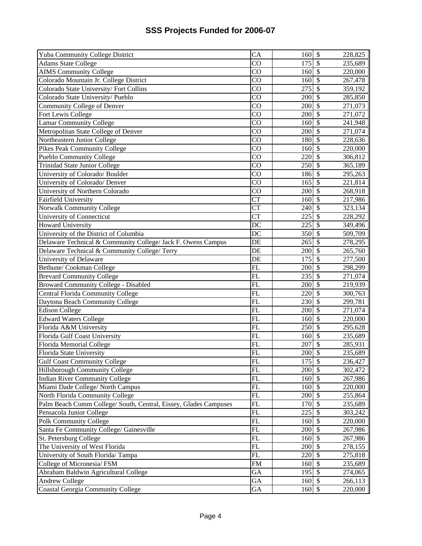| Yuba Community College District                                                                             | CA                     | 160                       | $\boldsymbol{\mathsf{S}}$      | 228,825            |
|-------------------------------------------------------------------------------------------------------------|------------------------|---------------------------|--------------------------------|--------------------|
| <b>Adams State College</b>                                                                                  | $\overline{CO}$        | 175                       | $\overline{\mathcal{S}}$       | 235,689            |
| <b>AIMS Community College</b>                                                                               | $\overline{CO}$        | 160                       | $\overline{\mathcal{S}}$       | 220,000            |
| Colorado Mountain Jr. College District                                                                      | $\overline{CO}$        | 160                       | $\overline{\mathcal{S}}$       | 267,478            |
| Colorado State University/Fort Collins                                                                      | $\overline{CO}$        | 275                       | $\overline{\mathcal{S}}$       | 359,192            |
| Colorado State University/Pueblo                                                                            | $\overline{CO}$        | 200                       | $\overline{\$}$                | 285,850            |
| Community College of Denver                                                                                 | CO                     | 200                       | $\overline{\$}$                | 271,073            |
| Fort Lewis College                                                                                          | $\overline{CO}$        | 200                       | \$                             | 271,072            |
| <b>Lamar Community College</b>                                                                              | $\overline{CO}$        | 160                       | $\overline{\$}$                | 241,948            |
| Metropolitan State College of Denver                                                                        | $\overline{CO}$        | 200                       | $\overline{\mathcal{S}}$       | 271,074            |
| Northeastern Junior College                                                                                 | $\overline{CO}$        | 180                       | $\overline{\$}$                | 228,636            |
| <b>Pikes Peak Community College</b>                                                                         | $\overline{CO}$        | 160                       | $\overline{\$}$                | 220,000            |
| <b>Pueblo Community College</b>                                                                             | $\overline{CO}$        | 220                       | $\overline{\$}$                | 306,812            |
| <b>Trinidad State Junior College</b>                                                                        | $\overline{CO}$        | 250                       | $\overline{\$}$                | 365,189            |
| University of Colorado/ Boulder                                                                             | CO                     | 186                       | $\overline{\$}$                | 295,263            |
| University of Colorado/ Denver                                                                              | $\overline{CO}$        | 165                       | $\overline{\$}$                | 221,814            |
| University of Northern Colorado                                                                             | $\overline{CQ}$        | 200                       | $\overline{\mathcal{S}}$       | 268,918            |
| Fairfield University                                                                                        | $\overline{\text{CT}}$ | 160                       | \$                             | 217,986            |
| Norwalk Community College                                                                                   | $\overline{\text{CT}}$ | 240                       | \$                             | 323,134            |
| University of Connecticut                                                                                   | $\overline{\text{CT}}$ | 225                       | \$                             | 228,292            |
| <b>Howard University</b>                                                                                    | DC                     | 225                       | \$                             | 349,496            |
| University of the District of Columbia                                                                      | $\overline{DC}$        | 350                       | $\overline{\$}$                | 509,709            |
| Delaware Technical & Community College/ Jack F. Owens Campus                                                | DE                     | 265                       | $\overline{\$}$                | 278,295            |
| Delaware Technical & Community College/ Terry                                                               | DE                     | 200                       | $\overline{\mathcal{S}}$       | 265,760            |
| University of Delaware                                                                                      | DE                     | 175                       | $\overline{\$}$                | 277,500            |
| Bethune/Cookman College                                                                                     | $\overline{FL}$        | 200                       | $\overline{\$}$                | 298,299            |
|                                                                                                             |                        |                           |                                |                    |
| <b>Brevard Community College</b>                                                                            | FL                     | 235                       | $\overline{\$}$                | 271,074            |
| <b>Broward Community College - Disabled</b>                                                                 | FL                     | 200                       | $\sqrt[6]{\frac{1}{2}}$        | 219,939            |
| <b>Central Florida Community College</b>                                                                    | $\overline{FL}$        | 220                       | $\overline{\$}$                | 300,763            |
| Daytona Beach Community College                                                                             | FL                     | 230                       | $\sqrt{\frac{2}{\pi}}$         | 299,781            |
| <b>Edison College</b>                                                                                       | FL                     | 200                       | $\sqrt[6]{\frac{1}{2}}$        | 271,074            |
| <b>Edward Waters College</b>                                                                                | FL                     | 160                       | $\overline{\$}$                | 220,000            |
| Florida A&M University                                                                                      | $\overline{FL}$        | 250                       | $\overline{\$}$                | 295,628            |
| Florida Gulf Coast University                                                                               | FL                     | 160                       | $\overline{\mathcal{S}}$       | 235,689            |
| Florida Memorial College                                                                                    | FL                     | 207                       | $\overline{\mathcal{S}}$       | 285,931            |
| Florida State University                                                                                    | $\overline{FL}$        | 200                       | $\overline{\mathcal{S}}$       | 235,689            |
| <b>Gulf Coast Community College</b>                                                                         | <b>FL</b>              | 175 \$                    |                                | 236,427            |
| Hillsborough Community College                                                                              | $\overline{FL}$        | 200S                      |                                | 302,472            |
| <b>Indian River Community College</b>                                                                       | FL                     | $160\overline{\smash{5}}$ |                                | 267,986            |
|                                                                                                             | $\mathbf{FL}$          | 160                       | $\mathcal{S}$                  | 220,000            |
|                                                                                                             | FL                     | 200                       | $\mathcal{S}$                  | 255,864            |
| Palm Beach Comm College/ South, Central, Eissey, Glades Campuses                                            | ${\rm FL}$             | 170                       | $\overline{\mathcal{S}}$       | 235,689            |
| Pensacola Junior College                                                                                    | FL                     | 225                       | $\overline{\mathcal{S}}$       | 303,242            |
| Polk Community College                                                                                      | FL                     | 160                       | $\overline{\mathcal{S}}$       | 220,000            |
| Santa Fe Community College/ Gainesville                                                                     | FL                     | 200                       | $\overline{\$}$                | 267,986            |
| St. Petersburg College                                                                                      | FL                     | 160                       | $\overline{\mathcal{S}}$       | 267,986            |
| The University of West Florida                                                                              | $\overline{FL}$        | 200                       | $\sqrt{3}$                     | 278,155            |
| University of South Florida/Tampa                                                                           | $\mathbf{FL}$          | 220                       | $\overline{\mathcal{S}}$       | 275,818            |
| College of Micronesia/ FSM                                                                                  | ${\rm FM}$             | 160                       | $\mathbb{S}$                   | 235,689            |
| Miami Dade College/ North Campus<br>North Florida Community College<br>Abraham Baldwin Agricultural College | GA                     | 195                       | $\sqrt$                        | 274,065            |
| <b>Andrew College</b><br><b>Coastal Georgia Community College</b>                                           | GA<br>GA               | 160<br>160                | $\mathcal{S}$<br>$\mathcal{S}$ | 266,113<br>220,000 |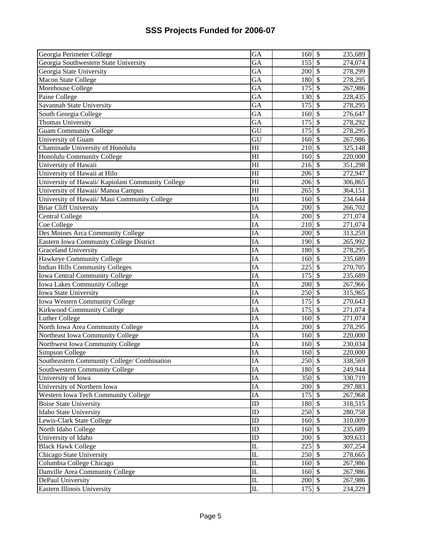| Georgia Perimeter College                         | GA                     | 160                          | $\boldsymbol{\mathsf{S}}$ | 235,689 |
|---------------------------------------------------|------------------------|------------------------------|---------------------------|---------|
| Georgia Southwestern State University             | GA                     | 155                          | $\boldsymbol{\mathsf{S}}$ | 274,074 |
| Georgia State University                          | $\overline{GA}$        | 200                          | $\overline{\mathcal{S}}$  | 278,299 |
| <b>Macon State College</b>                        | GA                     | 180                          | $\mathcal{S}$             | 278,295 |
| Morehouse College                                 | $\overline{GA}$        | 175                          | $\overline{\mathcal{S}}$  | 267,986 |
| Paine College                                     | $\overline{GA}$        | 130                          | $\overline{\mathcal{S}}$  | 228,435 |
| Savannah State University                         | GA                     | 175                          | $\overline{\mathcal{S}}$  | 278,295 |
| South Georgia College                             | $\overline{GA}$        | 160                          | $\overline{\mathcal{S}}$  | 276,647 |
| Thomas University                                 | $\overline{GA}$        | 175                          | $\overline{\mathcal{S}}$  | 278,292 |
| <b>Guam Community College</b>                     | $\overline{\text{GU}}$ | 175                          | $\overline{\mathcal{S}}$  | 278,295 |
| University of Guam                                | GU                     | 160                          | $\overline{\mathcal{S}}$  | 267,986 |
| Chaminade University of Honolulu                  | $\overline{H}$         | 210                          | $\overline{\mathcal{S}}$  | 325,148 |
| Honolulu Community College                        | H1                     | 160                          | $\overline{\$}$           | 220,000 |
| University of Hawaii                              | $\overline{H}$         | 216                          | $\overline{\$}$           | 351,298 |
| University of Hawaii at Hilo                      | H                      | 206                          | $\overline{\$}$           | 272,947 |
| University of Hawaii/ Kapiolani Community College | H                      | 206                          | $\overline{\mathcal{S}}$  | 306,865 |
| University of Hawaii/ Manoa Campus                | H                      | 265                          | \$                        | 364,151 |
| University of Hawaii/ Maui Community College      | H1                     | 160                          | $\mathcal{S}$             | 234,644 |
| <b>Briar Cliff University</b>                     | IA                     | 200                          | $\boldsymbol{\mathsf{S}}$ | 266,702 |
| <b>Central College</b>                            | IA                     | 200                          | $\mathcal{S}$             | 271,074 |
| Coe College                                       | IA                     | 210                          | \$                        | 271,074 |
| Des Moines Arca Community College                 | IA                     | 200                          | $\overline{\mathcal{S}}$  | 313,259 |
| Eastern Iowa Community College District           | IA                     | 190                          | $\overline{\mathcal{S}}$  | 265,992 |
| <b>Graceland University</b>                       | IA                     | 180                          | $\overline{\mathcal{S}}$  | 278,295 |
| Hawkeye Community College                         | IA                     | 160                          | $\overline{\mathcal{S}}$  | 235,689 |
| <b>Indian Hills Community Colleges</b>            | IA                     | 225                          | $\overline{\$}$           | 270,705 |
| <b>Iowa Central Community College</b>             | IA                     | 175                          | $\overline{\$}$           | 235,689 |
| <b>Iowa Lakes Community College</b>               | IA                     | 200                          | $\overline{\mathcal{S}}$  | 267,966 |
| <b>Iowa State University</b>                      | IA                     | 250                          | $\overline{\$}$           | 315,965 |
| <b>Iowa Western Community College</b>             | IA                     | $\overline{175}$             | $\mathcal{S}$             | 270,643 |
| Kirkwood Community College                        | IA                     | 175                          | $\mathcal{S}$             | 271,074 |
| <b>Luther College</b>                             | IA                     | 160                          | $\overline{\$}$           | 271,074 |
| North Iowa Area Community College                 | IA                     | 200                          | $\overline{\mathcal{S}}$  | 278,295 |
| Northeast Iowa Community College                  | IA                     | 160                          | $\boldsymbol{\mathsf{S}}$ | 220,000 |
| Northwest Iowa Community College                  | IA                     | 160                          | $\mathcal{S}$             | 230,034 |
| Simpson College                                   | IA                     | 160                          | $\overline{\mathcal{S}}$  | 220,000 |
| Southeastern Community College/ Combination       | IA                     | 250 \$                       |                           | 338,569 |
| Southwestern Community College                    | IA                     | 180 \$                       |                           | 249,944 |
| University of Iowa                                | IA                     | $350\overline{\smash{)}\,5}$ |                           | 330,719 |
| University of Northern Iowa                       | IA                     | 200                          | $\mathcal{S}$             | 297,883 |
| Western Iowa Tech Community College               | IA                     | 175                          | $\mathcal{S}$             | 267,968 |
| <b>Boise State University</b>                     | ID                     | 180                          | $\mathcal{S}$             | 318,515 |
| Idaho State University                            | ID                     | 250                          | $\overline{\mathcal{S}}$  | 280,758 |
| Lewis-Clark State College                         | ID                     | 160                          | $\overline{\mathcal{S}}$  | 310,009 |
| North Idaho College                               | ID                     | 160                          | $\overline{\mathcal{S}}$  | 235,689 |
| University of Idaho                               | ID                     | 200                          | $\boldsymbol{\mathsf{S}}$ | 309,633 |
| <b>Black Hawk College</b>                         | $\overline{\text{IL}}$ | 225                          | $\overline{\mathcal{S}}$  | 307,254 |
| Chicago State University                          | $\mathbf{I}$           | 250                          | $\overline{\mathcal{S}}$  | 278,665 |
| Columbia College Chicago                          | ${\rm IL}$             | 160                          | $\mathcal{S}$             | 267,986 |
| Danville Area Community College                   | $\rm IL$               | 160                          | $\boldsymbol{\mathsf{S}}$ | 267,986 |
| DePaul University                                 | $\mathbf{L}$           | 200                          | $\mathcal{S}$             | 267,986 |
| Eastern Illinois University                       | $\mathbf{I}$           | 175                          | $\mathcal{S}$             | 234,229 |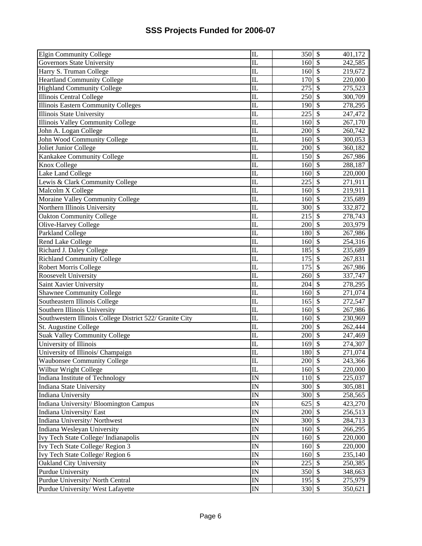| <b>Elgin Community College</b>                           | $\overline{\rm{I\!I}}$  | 350    | $\boldsymbol{\mathsf{S}}$ | 401,172 |
|----------------------------------------------------------|-------------------------|--------|---------------------------|---------|
| <b>Governors State University</b>                        | IL                      | 160    | $\mathcal{S}$             | 242,585 |
| Harry S. Truman College                                  | $\overline{\text{IL}}$  | 160    | $\overline{\$}$           | 219,672 |
| <b>Heartland Community College</b>                       | $\overline{\text{IL}}$  | 170    | $\overline{\mathcal{S}}$  | 220,000 |
| <b>Highland Community College</b>                        | $\overline{\text{IL}}$  | 275    | $\overline{\mathcal{S}}$  | 275,523 |
| <b>Illinois Central College</b>                          | $\overline{\mathbb{L}}$ | 250    | $\overline{\mathcal{S}}$  | 300,709 |
| <b>Illinois Eastern Community Colleges</b>               | $\overline{\text{II}}$  | 190    | $\overline{\mathcal{S}}$  | 278,295 |
| <b>Illinois State University</b>                         | $\mathbf{I}$            | 225    | $\overline{\mathcal{S}}$  | 247,472 |
| <b>Illinois Valley Community College</b>                 | $\overline{\mathbb{L}}$ | 160    | $\overline{\mathcal{S}}$  | 267,170 |
| John A. Logan College                                    | $\mathbf{I}$            | 200    | $\overline{\mathcal{S}}$  | 260,742 |
| John Wood Community College                              | $\mathbf{I}$            | 160    | $\overline{\mathcal{S}}$  | 300,053 |
| Joliet Junior College                                    | $\mathbf{L}$            | 200    | $\overline{\mathcal{S}}$  | 360,182 |
| Kankakee Community College                               | $\mathbf{L}$            | 150    | $\overline{\mathcal{S}}$  | 267,986 |
| Knox College                                             | $\overline{\mathbb{L}}$ | 160    | $\overline{\mathcal{S}}$  | 288,187 |
| Lake Land College                                        | $\overline{\text{IL}}$  | 160    | $\overline{\mathcal{S}}$  | 220,000 |
| Lewis & Clark Community College                          | $\mathbf{L}$            | 225    | $\overline{\mathcal{S}}$  | 271,911 |
| Malcolm X College                                        | $\overline{\text{IL}}$  | 160    | $\overline{\mathcal{S}}$  | 219,911 |
| Moraine Valley Community College                         | $\mathbf{I}$            | 160    | $\boldsymbol{\mathsf{S}}$ | 235,689 |
| Northern Illinois University                             | $\mathbf{L}$            | 300    | \$                        | 332,872 |
| <b>Oakton Community College</b>                          | $\overline{\text{IL}}$  | 215    | \$                        | 278,743 |
| Olive-Harvey College                                     | $\mathbf{L}$            | 200    | $\mathcal{S}$             | 203,979 |
| Parkland College                                         | $\overline{\text{IL}}$  | 180    | $\overline{\mathcal{S}}$  | 267,986 |
| <b>Rend Lake College</b>                                 | $\overline{\rm{I\!I}}$  | 160    | $\overline{\mathcal{S}}$  | 254,316 |
| Richard J. Daley College                                 | $\mathbf{I}$            | 185    | $\overline{\mathcal{S}}$  | 235,689 |
| <b>Richland Community College</b>                        | $\overline{\mathbb{L}}$ | 175    | $\overline{\mathcal{S}}$  | 267,831 |
| <b>Robert Morris College</b>                             | $\mathbf{I}$            | 175    | $\overline{\mathcal{S}}$  | 267,986 |
| Roosevelt University                                     | $\overline{\mathbb{L}}$ | 260    | $\overline{\mathcal{S}}$  | 337,747 |
| Saint Xavier University                                  | $\overline{\text{IL}}$  | 204    | $\overline{\$}$           | 278,295 |
| <b>Shawnee Community College</b>                         | $\overline{\text{IL}}$  | 160    | $\overline{\$}$           | 271,074 |
| Southeastern Illinois College                            | $\overline{\text{IL}}$  | 165    | $\overline{\$}$           | 272,547 |
| Southern Illinois University                             | $\overline{\mathbb{L}}$ | 160    | $\sqrt{S}$                | 267,986 |
| Southwestern Illinois College District 522/ Granite City | $\overline{\text{IL}}$  | 160    | $\overline{\$}$           | 230,969 |
| St. Augustine College                                    | $\overline{\mathbb{L}}$ | 200    | $\overline{\$}$           | 262,444 |
| <b>Suak Valley Community College</b>                     | $\overline{\text{IL}}$  | 200    | $\overline{\$}$           | 247,469 |
| University of Illinois                                   | $\mathbf{L}$            | 169    | $\boldsymbol{\mathsf{S}}$ | 274,307 |
| University of Illinois/ Champaign                        | $\overline{\text{IL}}$  | 180    | $\overline{\mathcal{S}}$  | 271,074 |
| <b>Waubonsee Community College</b>                       | $\mathop{\mathrm{IL}}$  | 200 \$ |                           | 243,366 |
| Wilbur Wright College                                    | $\overline{\text{IL}}$  | 160 \$ |                           | 220,000 |
| Indiana Institute of Technology                          | $\overline{\mathbf{N}}$ | 110 \$ |                           | 225,037 |
| Indiana State University                                 | IN                      | 300    | $\mathcal{S}$             | 305,081 |
| <b>Indiana University</b>                                | $\overline{\mathbb{N}}$ | 300    | $\mathcal{S}$             | 258,565 |
| Indiana University/ Bloomington Campus                   | IN                      | 625    | $\mathcal{S}$             | 423,270 |
| Indiana University/ East                                 | IN                      | 200    | $\mathcal{S}$             | 256,513 |
| Indiana University/Northwest                             | $\overline{\mathbb{N}}$ | 300    | $\overline{\mathcal{S}}$  | 284,713 |
| Indiana Wesleyan University                              | $\overline{\text{IN}}$  | 160    | $\overline{\mathcal{S}}$  | 266,295 |
| Ivy Tech State College/ Indianapolis                     | IN                      | 160    | $\overline{\mathcal{S}}$  | 220,000 |
| Ivy Tech State College/Region 3                          | $\overline{\mathbb{N}}$ | 160    | $\overline{\mathcal{S}}$  | 220,000 |
| Ivy Tech State College/Region 6                          | $\overline{\text{IN}}$  | 160    | $\overline{\mathcal{S}}$  | 235,140 |
| Oakland City University                                  | $\overline{\text{IN}}$  | 225    | $\overline{\mathcal{S}}$  | 250,385 |
| <b>Purdue University</b>                                 | ${\rm IN}$              | 350    | $\mathcal{S}$             | 348,663 |
| Purdue University/ North Central                         | $\mathbb{I}$ N          | 195    | $\sqrt[6]{\frac{1}{2}}$   | 275,979 |
| Purdue University/West Lafayette                         | ${\rm IN}$              | 330    | $\mathcal{S}$             | 350,621 |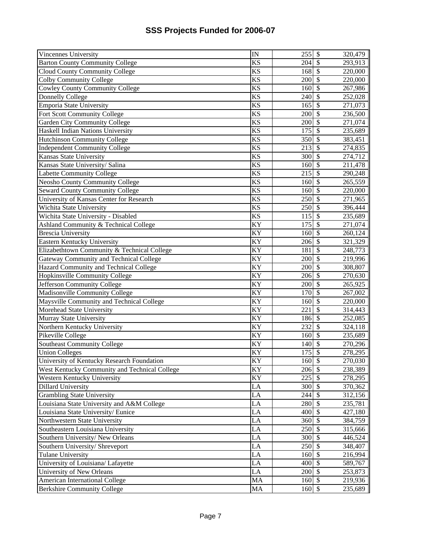| Vincennes University                          | $\overline{\mathbb{N}}$ | 255                | $\boldsymbol{\mathsf{S}}$ | 320,479 |
|-----------------------------------------------|-------------------------|--------------------|---------------------------|---------|
| <b>Barton County Community College</b>        | <b>KS</b>               | 204                | $\boldsymbol{\mathsf{S}}$ | 293,913 |
| <b>Cloud County Community College</b>         | $\overline{\text{KS}}$  | 168                | $\overline{\mathcal{S}}$  | 220,000 |
| <b>Colby Community College</b>                | $\overline{\text{KS}}$  | 200                | $\mathcal{S}$             | 220,000 |
| <b>Cowley County Community College</b>        | <b>KS</b>               | 160                | $\overline{\mathcal{S}}$  | 267,986 |
| <b>Donnelly College</b>                       | <b>KS</b>               | 240                | $\overline{\mathcal{S}}$  | 252,028 |
| <b>Emporia State University</b>               | <b>KS</b>               | 165                | $\overline{\$}$           | 271,073 |
| Fort Scott Community College                  | KS                      | 200                | $\overline{\mathcal{S}}$  | 236,500 |
| Garden City Community College                 | KS                      | 200                | $\overline{\mathcal{S}}$  | 271,074 |
| Haskell Indian Nations University             | <b>KS</b>               | 175                | $\overline{\mathcal{S}}$  | 235,689 |
| <b>Hutchinson Community College</b>           | $\overline{\text{KS}}$  | 350                | $\overline{\mathcal{S}}$  | 383,451 |
| <b>Independent Community College</b>          | $\overline{\text{KS}}$  | 213                | $\overline{\mathcal{S}}$  | 274,835 |
| Kansas State University                       | KS                      | 300                | $\overline{\mathcal{S}}$  | 274,712 |
| Kansas State University/ Salina               | <b>KS</b>               | 160                | $\overline{\$}$           | 211,478 |
| <b>Labette Community College</b>              | <b>KS</b>               | 215                | $\overline{\$}$           | 290,248 |
| <b>Neosho County Community College</b>        | KS                      | 160                | $\overline{\mathcal{S}}$  | 265,559 |
| <b>Seward County Community College</b>        | KS                      | 160                | $\mathcal{S}$             | 220,000 |
| University of Kansas Center for Research      | KS                      | 250                | $\overline{\mathcal{S}}$  | 271,965 |
| Wichita State University                      | KS                      | 250                | $\boldsymbol{\mathsf{S}}$ | 396,444 |
| Wichita State University - Disabled           | KS                      | 115                | $\mathcal{S}$             | 235,689 |
| Ashland Community & Technical College         | $\overline{KY}$         | 175                | $\mathcal{S}$             | 271,074 |
| <b>Brescia University</b>                     | $\overline{KY}$         | 160                | $\overline{\mathcal{S}}$  | 260,124 |
| Eastern Kentucky University                   | KY                      | 206                | $\overline{\mathcal{S}}$  | 321,329 |
| Elizabethtown Community & Technical College   | $\overline{KY}$         | 181                | $\overline{\mathcal{S}}$  | 248,773 |
| Gateway Community and Technical College       | $\overline{KY}$         | 200                | $\overline{\mathcal{S}}$  | 219,996 |
| Hazard Community and Technical College        | <b>KY</b>               | 200                | $\overline{\mathcal{S}}$  | 308,807 |
| Hopkinsville Community College                | $\overline{KY}$         | 206                | $\overline{\$}$           | 270,630 |
| Jefferson Community College                   | $\overline{KY}$         | 200                | $\overline{\mathcal{S}}$  | 265,925 |
| Madisonville Community College                | $\overline{KY}$         | 170                | $\overline{\mathcal{S}}$  | 267,002 |
| Maysville Community and Technical College     | <b>KY</b>               | 160                | $\sqrt{S}$                | 220,000 |
| Morehead State University                     | $\overline{KY}$         | 221                | $\overline{\$}$           | 314,443 |
| Murray State University                       | KY                      | 186                | $\overline{\$}$           | 252,085 |
| Northern Kentucky University                  | $\overline{KY}$         | 232                | $\overline{\$}$           | 324,118 |
| Pikeville College                             | KY                      | 160                | $\boldsymbol{\mathsf{S}}$ | 235,689 |
| <b>Southeast Community College</b>            | KY                      | 140                | $\mathcal{S}$             | 270,296 |
| <b>Union Colleges</b>                         | KY                      | 175                | $\overline{\mathcal{S}}$  | 278,295 |
| University of Kentucky Research Foundation    | KY                      | 160 \$             |                           | 270,030 |
| West Kentucky Community and Technical College | KY                      | $206 \text{ }$ \$  |                           | 238,389 |
| Western Kentucky University                   | KY                      | $225\overline{\$}$ |                           | 278,295 |
| <b>Dillard University</b>                     | ${\rm LA}$              | 300 \$             |                           | 370,362 |
| <b>Grambling State University</b>             | LA                      | 244                | $\mathcal{S}$             | 312,156 |
| Louisiana State University and A&M College    | LA                      | 280                | $\mathcal{S}$             | 235,781 |
| Louisiana State University/Eunice             | LA                      | 400                | $\overline{\mathcal{S}}$  | 427,180 |
| Northwestern State University                 | LA                      | 360                | $\mathcal{S}$             | 384,759 |
| Southeastern Louisiana University             | LA                      | 250                | $\overline{\mathcal{S}}$  | 315,666 |
| Southern University/New Orleans               | LA                      | 300                | $\mathcal{S}$             | 446,524 |
| Southern University/ Shreveport               | LA                      | 250                | $\overline{\mathcal{S}}$  | 348,407 |
| <b>Tulane University</b>                      | LA                      | 160                | $\boldsymbol{\mathsf{S}}$ | 216,994 |
| University of Louisiana/ Lafayette            | LA                      | 400                | $\mathcal{S}$             | 589,767 |
| University of New Orleans                     | LA                      | 200                | $\mathcal{S}$             | 253,873 |
| <b>American International College</b>         | MA                      | 160                | $\mathcal{S}$             | 219,936 |
| <b>Berkshire Community College</b>            | MA                      | 160                | $\mathcal{S}$             | 235,689 |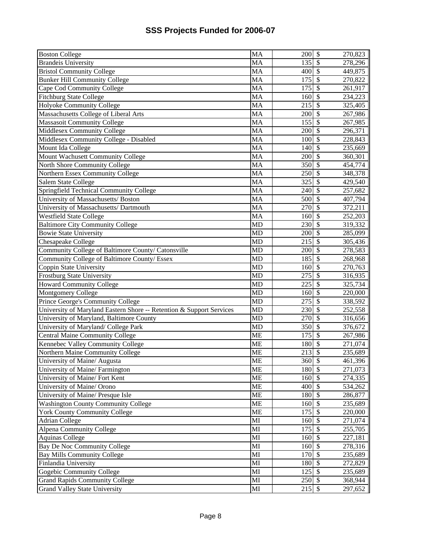| <b>Boston College</b>                                                | MA                     | 200                         | $\boldsymbol{\mathsf{S}}$ | 270,823 |
|----------------------------------------------------------------------|------------------------|-----------------------------|---------------------------|---------|
| <b>Brandeis University</b>                                           | MA                     | 135                         | $\mathcal{S}$             | 278,296 |
| <b>Bristol Community College</b>                                     | MA                     | 400                         | $\mathcal{S}$             | 449,875 |
| <b>Bunker Hill Community College</b>                                 | <b>MA</b>              | 175                         | $\overline{\mathcal{S}}$  | 270,822 |
|                                                                      | MA                     |                             | $\overline{\mathcal{S}}$  |         |
| Cape Cod Community College                                           |                        | 175                         |                           | 261,917 |
| <b>Fitchburg State College</b>                                       | MA                     | 160                         | $\overline{\mathcal{S}}$  | 234,223 |
| Holyoke Community College                                            | MA                     | 215                         | $\overline{\mathcal{S}}$  | 325,405 |
| Massachusetts College of Liberal Arts                                | MA                     | 200                         | $\overline{\mathcal{S}}$  | 267,986 |
| <b>Massasoit Community College</b>                                   | MA                     | $15\overline{5}$            | $\overline{\mathcal{S}}$  | 267,985 |
| Middlesex Community College                                          | MA                     | 200                         | $\overline{\mathcal{S}}$  | 296,371 |
| Middlesex Community College - Disabled                               | MA                     | 100                         | $\overline{\mathcal{S}}$  | 228,843 |
| Mount Ida College                                                    | <b>MA</b>              | 140                         | $\overline{\mathcal{S}}$  | 235,669 |
| Mount Wachusett Community College                                    | MA                     | 200                         | $\overline{\mathcal{S}}$  | 360,301 |
| North Shore Community College                                        | MA                     | 350                         | $\overline{\mathcal{S}}$  | 454,774 |
| Northern Essex Community College                                     | <b>MA</b>              | 250                         | $\overline{\mathcal{S}}$  | 348,378 |
| Salem State College                                                  | <b>MA</b>              | 325                         | $\boldsymbol{\mathsf{S}}$ | 429,540 |
| Springfield Technical Community College                              | MA                     | 240                         | $\mathcal{S}$             | 257,682 |
| University of Massachusetts/ Boston                                  | <b>MA</b>              | 500                         | $\boldsymbol{\mathsf{S}}$ | 407,794 |
| University of Massachusetts/ Dartmouth                               | <b>MA</b>              | 270                         | $\mathcal{S}$             | 372,211 |
| <b>Westfield State College</b>                                       | MA                     | 160                         | $\mathcal{S}$             | 252,203 |
| <b>Baltimore City Community College</b>                              | $\overline{MD}$        | 230                         | $\overline{\mathcal{S}}$  | 319,332 |
| <b>Bowie State University</b>                                        | <b>MD</b>              | 200                         | $\overline{\mathcal{S}}$  | 285,099 |
| <b>Chesapeake College</b>                                            | <b>MD</b>              | 215                         | $\overline{\mathcal{S}}$  | 305,436 |
| Community College of Baltimore County/ Catonsville                   | <b>MD</b>              | 200                         | $\overline{\mathcal{S}}$  | 278,583 |
| Community College of Baltimore County/ Essex                         | MD                     | 185                         | $\overline{\mathcal{S}}$  | 268,968 |
| Coppin State University                                              | <b>MD</b>              | 160                         | $\overline{\$}$           | 270,763 |
| <b>Frostburg State University</b>                                    | <b>MD</b>              | 275                         | $\overline{\mathcal{S}}$  | 316,935 |
| <b>Howard Community College</b>                                      | <b>MD</b>              | 225                         | $\overline{\$}$           | 325,734 |
| Montgomery College                                                   | MD                     | 160                         | $\sqrt{S}$                | 220,000 |
| Prince George's Community College                                    | MD                     | $\overline{275}$            | $\sqrt[6]{\frac{1}{2}}$   | 338,592 |
| University of Maryland Eastern Shore -- Retention & Support Services | <b>MD</b>              | 230                         | $\overline{\$}$           | 252,558 |
| University of Maryland, Baltimore County                             | <b>MD</b>              | 270                         | $\overline{\mathcal{S}}$  | 316,656 |
|                                                                      | <b>MD</b>              | 350                         | $\boldsymbol{\mathsf{S}}$ |         |
| University of Maryland/ College Park                                 |                        |                             | $\mathcal{S}$             | 376,672 |
| <b>Central Maine Community College</b>                               | <b>ME</b>              | 175                         |                           | 267,986 |
| Kennebec Valley Community College                                    | <b>ME</b>              | 180                         | $\boldsymbol{\mathsf{S}}$ | 271,074 |
| Northern Maine Community College                                     | <b>ME</b>              | 213                         | $\overline{\mathcal{S}}$  | 235,689 |
| University of Maine/ Augusta                                         | <b>ME</b>              | 360 \$                      |                           | 461,396 |
| University of Maine/Farmington                                       | <b>ME</b>              | $180$ $\overline{\text{S}}$ |                           | 271,073 |
| University of Maine/ Fort Kent                                       | <b>ME</b>              | 160 \$                      |                           | 274,335 |
| University of Maine/ Orono                                           | <b>ME</b>              | 400                         | $\mathcal{S}$             | 534,262 |
| University of Maine/ Presque Isle                                    | <b>ME</b>              | 180                         | $\mathcal{S}$             | 286,877 |
| <b>Washington County Community College</b>                           | <b>ME</b>              | 160                         | $\overline{\mathcal{S}}$  | 235,689 |
| <b>York County Community College</b>                                 | <b>ME</b>              | 175                         | $\overline{\mathcal{S}}$  | 220,000 |
| <b>Adrian College</b>                                                | MI                     | 160                         | $\mathcal{S}$             | 271,074 |
| <b>Alpena Community College</b>                                      | MI                     | 175                         | $\overline{\mathcal{S}}$  | 255,705 |
| <b>Aquinas College</b>                                               | MI                     | 160                         | $\overline{\mathcal{S}}$  | 227,181 |
| Bay De Noc Community College                                         | $\mathbf{M}\mathbf{I}$ | 160                         | $\overline{\mathcal{S}}$  | 278,316 |
| <b>Bay Mills Community College</b>                                   | MI                     | 170                         | $\mathcal{S}$             | 235,689 |
| Finlandia University                                                 | MI                     | 180                         | $\boldsymbol{\mathsf{S}}$ | 272,829 |
| Gogebic Community College                                            | MI                     | 125                         | $\mathcal{S}$             | 235,689 |
| <b>Grand Rapids Community College</b>                                | MI                     | 250                         | $\mathcal{S}$             | 368,944 |
| <b>Grand Valley State University</b>                                 | MI                     | 215                         | $\mathcal{S}$             | 297,652 |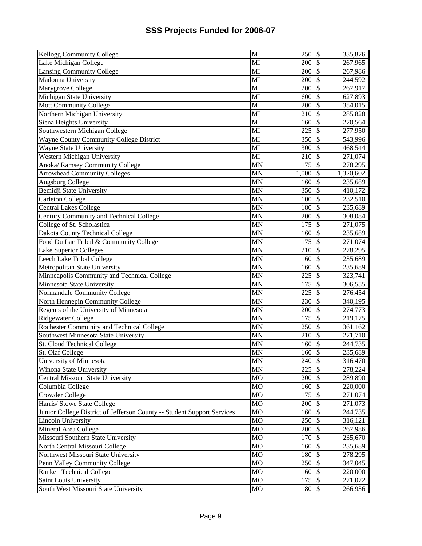| <b>Kellogg Community College</b>                                        | MI                     | 250         | $\boldsymbol{\mathsf{S}}$ | 335,876   |
|-------------------------------------------------------------------------|------------------------|-------------|---------------------------|-----------|
| Lake Michigan College                                                   | MI                     | 200         | \$                        | 267,965   |
| <b>Lansing Community College</b>                                        | MI                     | 200         | $\overline{\mathcal{S}}$  | 267,986   |
| Madonna University                                                      | MI                     | 200         | $\overline{\mathcal{S}}$  | 244,592   |
| Marygrove College                                                       | MI                     | 200         | \$                        | 267,917   |
| Michigan State University                                               | MI                     | 600         | \$                        | 627,893   |
| <b>Mott Community College</b>                                           | MI                     | 200         | \$                        | 354,015   |
| Northern Michigan University                                            | MI                     | 210         | $\mathcal{S}$             | 285,828   |
| Siena Heights University                                                | MI                     | 160         | $\mathcal{S}$             | 270,564   |
| Southwestern Michigan College                                           | MI                     | 225         | \$                        | 277,950   |
| <b>Wayne County Community College District</b>                          | MI                     | 350         | \$                        | 543,996   |
| Wayne State University                                                  | MI                     | 300         | \$                        | 468,544   |
| Western Michigan University                                             | $\overline{\text{MI}}$ | 210         | $\overline{\mathcal{S}}$  | 271,074   |
| Anoka/Ramsey Community College                                          | <b>MN</b>              | 175         | $\overline{\mathcal{S}}$  | 278,295   |
| <b>Arrowhead Community Colleges</b>                                     | <b>MN</b>              | 1,000       | $\mathcal{S}$             | 1,320,602 |
| <b>Augsburg College</b>                                                 | <b>MN</b>              | 160         | $\overline{\mathcal{S}}$  | 235,689   |
| Bemidji State University                                                | <b>MN</b>              | 350         | $\overline{\$}$           | 410,172   |
| Carleton College                                                        | <b>MN</b>              | 100         | $\overline{\$}$           | 232,510   |
| <b>Central Lakes College</b>                                            | <b>MN</b>              | 180         | \$                        | 235,689   |
| Century Community and Technical College                                 | <b>MN</b>              | 200         | \$                        | 308,084   |
| College of St. Scholastica                                              | <b>MN</b>              | 175         | \$                        | 271,075   |
| Dakota County Technical College                                         | MN                     | 160         | \$                        | 235,689   |
| Fond Du Lac Tribal & Community College                                  | <b>MN</b>              | 175         | \$                        | 271,074   |
| <b>Lake Superior Colleges</b>                                           | <b>MN</b>              | 210         | $\mathcal{S}$             | 278,295   |
| Leech Lake Tribal College                                               | <b>MN</b>              | 160         | $\mathcal{S}$             | 235,689   |
| Metropolitan State University                                           | <b>MN</b>              | 160         | \$                        | 235,689   |
| Minneapolis Community and Technical College                             | <b>MN</b>              | 225         | \$                        | 323,741   |
| Minnesota State University                                              | <b>MN</b>              | 175         | $\overline{\mathcal{S}}$  | 306,555   |
| Normandale Community College                                            | $\overline{\text{MN}}$ | 225         | $\overline{\mathcal{S}}$  | 276,454   |
| North Hennepin Community College                                        | <b>MN</b>              | 230         | $\overline{\$}$           | 340,195   |
| Regents of the University of Minnesota                                  | $\overline{\text{MN}}$ | 200         | $\overline{\mathcal{S}}$  | 274,773   |
| <b>Ridgewater College</b>                                               | <b>MN</b>              | 175         | $\overline{\$}$           | 219,175   |
| Rochester Community and Technical College                               | <b>MN</b>              | 250         | $\overline{\$}$           | 361,162   |
| Southwest Minnesota State University                                    | <b>MN</b>              | 210         | $\overline{\mathcal{S}}$  | 271,710   |
| <b>St. Cloud Technical College</b>                                      | <b>MN</b>              | 160         | $\overline{\mathcal{S}}$  | 244,735   |
| St. Olaf College                                                        | <b>MN</b>              | 160         | $\mathcal{S}$             | 235,689   |
| University of Minnesota                                                 | <b>MN</b>              | $240 \,$ \$ |                           | 316,470   |
| Winona State University                                                 | <b>MN</b>              | 225         | $\mathcal{S}$             | 278,224   |
| Central Missouri State University                                       | MO                     | 200         | $\sqrt{3}$                | 289,890   |
| Columbia College                                                        | <b>MO</b>              | 160         | $\mathcal{S}$             | 220,000   |
| Crowder College                                                         | <b>MO</b>              | 175         | $\mathcal{S}$             | 271,074   |
| Harris/ Stowe State College                                             | MO                     | 200         | $\mathcal{S}$             | 271,073   |
| Junior College District of Jefferson County -- Student Support Services | MO                     | 160         | $\mathcal{S}$             | 244,735   |
| Lincoln University                                                      | MO                     | 250         | $\mathcal{S}$             | 316,121   |
| Mineral Area College                                                    | <b>MO</b>              | 200         | $\mathcal{S}$             | 267,986   |
| Missouri Southern State University                                      | <b>MO</b>              | 170         | $\overline{\mathcal{S}}$  | 235,670   |
| North Central Missouri College                                          | MO                     | 160         | $\overline{\mathcal{S}}$  | 235,689   |
| Northwest Missouri State University                                     | MO                     | 180         | $\overline{\mathcal{S}}$  | 278,295   |
| Penn Valley Community College                                           | MO                     | 250         | $\overline{\mathcal{S}}$  | 347,045   |
| Ranken Technical College                                                | <b>MO</b>              | 160         | $\sqrt{S}$                | 220,000   |
| Saint Louis University                                                  | $_{\rm MO}$            | $175$ \$    |                           | 271,072   |
| South West Missouri State University                                    | MO                     | 180         | $\mathcal{S}$             | 266,936   |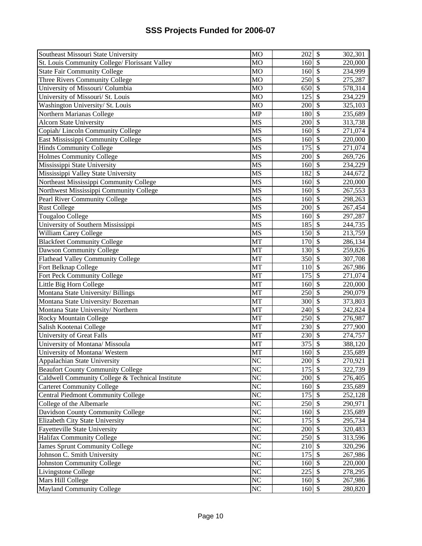| Southeast Missouri State University              | <b>MO</b>              | 202              | $\boldsymbol{\mathsf{S}}$ | 302,301 |
|--------------------------------------------------|------------------------|------------------|---------------------------|---------|
| St. Louis Community College/ Florissant Valley   | <b>MO</b>              | 160              | $\boldsymbol{\mathsf{S}}$ | 220,000 |
| <b>State Fair Community College</b>              | <b>MO</b>              | 160              | $\overline{\mathcal{S}}$  | 234,999 |
| Three Rivers Community College                   | <b>MO</b>              | 250              | $\overline{\mathcal{S}}$  | 275,287 |
| University of Missouri/ Columbia                 | <b>MO</b>              | 650              | \$                        | 578,314 |
| University of Missouri/ St. Louis                | <b>MO</b>              | 125              | $\overline{\mathcal{S}}$  | 234,229 |
| Washington University/ St. Louis                 | <b>MO</b>              | 200              | $\overline{\mathcal{S}}$  | 325,103 |
| Northern Marianas College                        | <b>MP</b>              | 180              | $\overline{\mathcal{S}}$  | 235,689 |
| <b>Alcorn State University</b>                   | MS                     | 200              | $\overline{\$}$           | 313,738 |
| Copiah/Lincoln Community College                 | <b>MS</b>              | 160              | $\overline{\mathcal{S}}$  | 271,074 |
| East Mississippi Community College               | <b>MS</b>              | 160              | $\overline{\$}$           | 220,000 |
| <b>Hinds Community College</b>                   | <b>MS</b>              | 175              | $\overline{\mathcal{S}}$  | 271,074 |
| <b>Holmes Community College</b>                  | $\overline{\text{MS}}$ | 200              | $\overline{\mathcal{S}}$  | 269,726 |
| Mississippi State University                     | <b>MS</b>              | 160              | $\overline{\mathcal{S}}$  | 234,229 |
| Mississippi Valley State University              | MS                     | 182              | $\overline{\$}$           | 244,672 |
| Northeast Mississippi Community College          | MS                     | 160              | $\overline{\mathcal{S}}$  | 220,000 |
| Northwest Mississippi Community College          | <b>MS</b>              | 160              | $\overline{\mathcal{S}}$  | 267,553 |
| Pearl River Community College                    | MS                     | 160              | $\overline{\mathcal{S}}$  | 298,263 |
| <b>Rust College</b>                              | MS                     | 200              | \$                        | 267,454 |
| Tougaloo College                                 | MS                     | 160              | $\boldsymbol{\mathsf{S}}$ | 297,287 |
| University of Southern Mississippi               | MS                     | 185              | $\boldsymbol{\mathsf{S}}$ | 244,735 |
| William Carey College                            | MS                     | 150              | \$                        | 213,759 |
| <b>Blackfeet Community College</b>               | <b>MT</b>              | 170              | $\mathcal{S}$             | 286,134 |
| Dawson Community College                         | <b>MT</b>              | 130              | $\overline{\mathcal{S}}$  | 259,826 |
| Flathead Valley Community College                | MT                     | 350              | $\boldsymbol{\mathsf{S}}$ | 307,708 |
| Fort Belknap College                             | <b>MT</b>              | 110              | $\overline{\mathcal{S}}$  | 267,986 |
| Fort Peck Community College                      | <b>MT</b>              | 175              | $\overline{\mathcal{S}}$  | 271,074 |
| Little Big Horn College                          | <b>MT</b>              | 160              | $\overline{\$}$           | 220,000 |
| Montana State University/ Billings               | <b>MT</b>              | $\overline{250}$ | $\overline{\$}$           | 290,079 |
| Montana State University/Bozeman                 | <b>MT</b>              | 300              | $\sqrt$                   | 373,803 |
| Montana State University/Northern                | <b>MT</b>              | 240              | $\overline{\$}$           | 242,824 |
| Rocky Mountain College                           | MT                     | 250              | $\sqrt[6]{\frac{1}{2}}$   | 276,987 |
| Salish Kootenai College                          | <b>MT</b>              | 230              | $\overline{\$}$           | 277,900 |
| University of Great Falls                        | MT                     | 230              | $\overline{\mathcal{S}}$  | 274,757 |
| University of Montana/ Missoula                  | MT                     | 375              | $\overline{\mathcal{S}}$  | 388,120 |
| University of Montana/ Western                   | <b>MT</b>              | 160              | $\mathcal{S}$             | 235,689 |
| Appalachian State University                     | NC                     | 200 \$           |                           | 270,921 |
| <b>Beaufort County Community College</b>         | $\overline{\text{NC}}$ | 175              | $\mathcal{S}$             | 322,739 |
| Caldwell Community College & Technical Institute | $N\overline{C}$        | 200              | -\$                       | 276,405 |
| <b>Carteret Community College</b>                | N <sub>C</sub>         | 160              | $\mathcal{S}$             | 235,689 |
| <b>Central Piedmont Community College</b>        | NC                     | 175              | $\mathcal{S}$             | 252,128 |
| College of the Albemarle                         | NC                     | 250              | $\mathcal{S}$             | 290,971 |
| Davidson County Community College                | NC                     | 160              | $\mathcal{S}$             | 235,689 |
| Elizabeth City State University                  | NC                     | 175              | $\mathcal{S}$             | 295,734 |
| <b>Fayetteville State University</b>             | $\overline{\text{NC}}$ | 200              | $\overline{\mathcal{S}}$  | 320,483 |
| Halifax Community College                        | NC                     | 250              | $\overline{\mathcal{S}}$  | 313,596 |
| James Sprunt Community College                   | $\overline{\text{NC}}$ | 210              | $\overline{\mathcal{S}}$  | 320,296 |
| Johnson C. Smith University                      | NC                     | 175              | $\overline{\mathcal{S}}$  | 267,986 |
| <b>Johnston Community College</b>                | NC                     | 160              | $\overline{\mathcal{S}}$  | 220,000 |
| Livingstone College                              | NC                     | 225              | $\boldsymbol{\mathsf{S}}$ | 278,295 |
| Mars Hill College                                | NC                     | 160              | $\mathcal{S}$             | 267,986 |
| <b>Mayland Community College</b>                 | NC                     | 160              | $\mathcal{S}$             | 280,820 |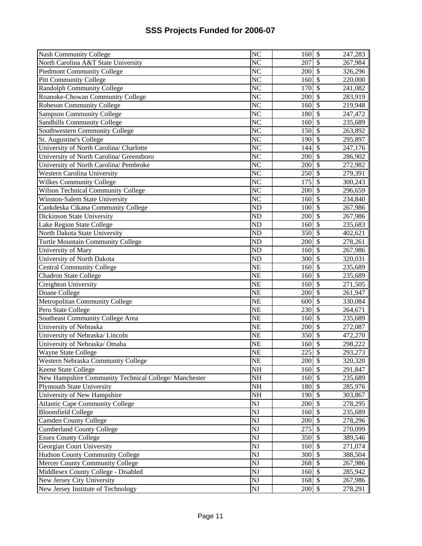| <b>Nash Community College</b>                         | N <sub>C</sub>         | 160                         | $\boldsymbol{\mathsf{S}}$ | 247,283 |
|-------------------------------------------------------|------------------------|-----------------------------|---------------------------|---------|
| North Carolina A&T State University                   | N <sub>C</sub>         | 207                         | $\mathcal{S}$             | 267,984 |
| <b>Piedmont Community College</b>                     | $\overline{\text{NC}}$ | 200                         | $\overline{\mathcal{S}}$  | 326,296 |
| <b>Pitt Community College</b>                         | $\overline{\text{NC}}$ | 160                         | $\overline{\mathcal{S}}$  | 220,000 |
| <b>Randolph Community College</b>                     | $\overline{\text{NC}}$ | 170                         | $\overline{\mathcal{S}}$  | 241,082 |
| Roanoke-Chowan Community College                      | $\overline{\text{NC}}$ | 200                         | $\overline{\mathcal{S}}$  | 283,919 |
| <b>Robeson Community College</b>                      | $\overline{\text{NC}}$ | 160                         | $\overline{\mathcal{S}}$  | 219,948 |
| Sampson Community College                             | $\overline{\text{NC}}$ | 180                         | $\overline{\mathcal{S}}$  | 247,472 |
| Sandhills Community College                           | $\overline{\text{NC}}$ | 160                         | $\overline{\mathcal{S}}$  | 235,689 |
| <b>Southwestern Community College</b>                 | $\overline{\text{NC}}$ | 150                         | $\overline{\mathcal{S}}$  | 263,892 |
| St. Augustine's College                               | $\overline{\text{NC}}$ | 190                         | $\overline{\mathcal{S}}$  | 295,897 |
| University of North Carolina/ Charlotte               | $\overline{\text{NC}}$ | 144                         | $\overline{\mathcal{S}}$  | 247,176 |
| University of North Carolina/ Greensboro              | $\overline{\text{NC}}$ | 200                         | $\overline{\mathcal{S}}$  | 286,902 |
| University of North Carolina/ Pembroke                | $\overline{\text{NC}}$ | 200                         | $\overline{\mathcal{S}}$  |         |
| <b>Western Carolina University</b>                    | $\overline{\text{NC}}$ | 250                         | $\overline{\mathcal{S}}$  | 272,982 |
|                                                       |                        |                             |                           | 279,391 |
| <b>Wilkes Community College</b>                       | N <sub>C</sub>         | 175                         | $\boldsymbol{\mathsf{S}}$ | 300,243 |
| <b>Wilson Technical Community College</b>             | N <sub>C</sub>         | 200                         | $\mathcal{S}$             | 296,659 |
| Winston-Salem State University                        | N <sub>C</sub>         | 160                         | $\boldsymbol{\mathsf{S}}$ | 234,840 |
| Cankdeska Cikana Community College                    | N <sub>D</sub>         | 100                         | $\mathcal{S}$             | 267,986 |
| Dickinson State University                            | $\overline{ND}$        | 200                         | $\mathcal{S}$             | 267,986 |
| Lake Region State College                             | $\overline{ND}$        | 160                         | $\overline{\mathcal{S}}$  | 235,683 |
| North Dakota State University                         | <b>ND</b>              | 350                         | $\overline{\mathcal{S}}$  | 402,621 |
| <b>Turtle Mountain Community College</b>              | $\overline{ND}$        | 200                         | $\overline{\mathcal{S}}$  | 278,261 |
| University of Mary                                    | ND                     | 160                         | $\overline{\$}$           | 267,986 |
| University of North Dakota                            | $\overline{ND}$        | 300                         | $\overline{\mathcal{S}}$  | 320,031 |
| <b>Central Community College</b>                      | $\overline{\text{NE}}$ | 160                         | $\overline{\$}$           | 235,689 |
| <b>Chadron State College</b>                          | $\overline{\text{NE}}$ | 160                         | $\overline{\mathcal{S}}$  | 235,689 |
| Creighton University                                  | <b>NE</b>              | 160                         | $\overline{\$}$           | 271,505 |
| Doane College                                         | <b>NE</b>              | 200                         | $\sqrt{S}$                | 261,947 |
| Metropolitan Community College                        | $\overline{\text{NE}}$ | 600                         | $\mathcal{S}$             | 330,084 |
| Peru State College                                    | $\overline{\text{NE}}$ | 230                         | $\overline{\$}$           | 264,671 |
| Southeast Community College Area                      | $\overline{\text{NE}}$ | 160                         | $\overline{\$}$           | 235,689 |
| University of Nebraska                                | <b>NE</b>              | 200                         | $\boldsymbol{\mathsf{S}}$ | 272,087 |
| University of Nebraska/Lincoln                        | <b>NE</b>              | 350                         | $\overline{\mathcal{S}}$  | 472,270 |
| University of Nebraska/ Omaha                         | <b>NE</b>              | 160                         | $\boldsymbol{\mathsf{S}}$ | 298,222 |
| Wayne State College                                   | <b>NE</b>              | 225                         | $\overline{\mathcal{S}}$  | 293,273 |
| Western Nebraska Community College                    | <b>NE</b>              | 200 \$                      |                           | 320,320 |
| Keene State College                                   | $\overline{\text{NH}}$ | $160$ $\overline{\text{S}}$ |                           | 291,847 |
| New Hampshire Community Technical College/ Manchester | NH                     | 160 \$                      |                           | 235,689 |
| <b>Plymouth State University</b>                      | NH                     | 180                         | $\mathcal{S}$             | 285,976 |
| University of New Hampshire                           | <b>NH</b>              | 190                         | $\mathcal{S}$             | 303,867 |
| <b>Atlantic Cape Community College</b>                | $\overline{\text{NJ}}$ | 200                         | $\overline{\mathcal{S}}$  | 278,295 |
| <b>Bloomfield College</b>                             | NJ                     | 160                         | $\overline{\mathcal{S}}$  | 235,689 |
| <b>Camden County College</b>                          | NJ                     | 200                         | $\overline{\mathcal{S}}$  | 278,296 |
| <b>Cumberland County College</b>                      | NJ                     | 275                         | $\overline{\mathcal{S}}$  | 270,099 |
| <b>Essex County College</b>                           | NJ                     | 350                         | $\overline{\mathcal{S}}$  | 389,546 |
| Georgian Court University                             | NJ                     | 160                         | $\overline{\mathcal{S}}$  | 271,074 |
| Hudson County Community College                       | NJ                     | 300                         | $\boldsymbol{\mathsf{S}}$ | 388,504 |
| Mercer County Community College                       | NJ                     | 268                         | $\boldsymbol{\mathsf{S}}$ | 267,986 |
| Middlesex County College - Disabled                   | NJ                     | 160                         | $\mathcal{S}$             | 285,942 |
| New Jersey City University                            | NJ                     | 168                         | $\boldsymbol{\mathsf{S}}$ | 267,986 |
| New Jersey Institute of Technology                    | NJ                     | 200                         | $\mathcal{S}$             | 278,291 |
|                                                       |                        |                             |                           |         |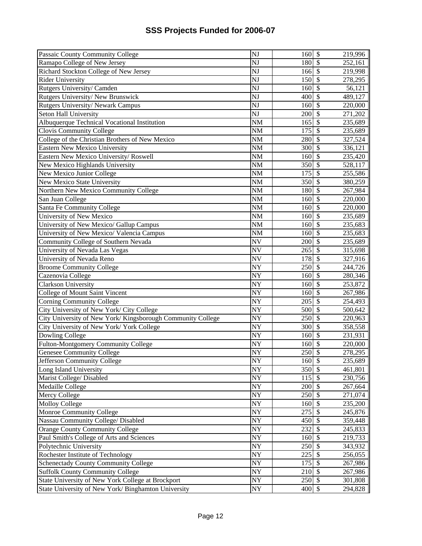| Passaic County Community College                                                                         | $\overline{N}$           | 160      | $\boldsymbol{\mathsf{S}}$      | 219,996 |
|----------------------------------------------------------------------------------------------------------|--------------------------|----------|--------------------------------|---------|
| Ramapo College of New Jersey                                                                             | NJ                       | 180      | $\mathcal{S}$                  | 252,161 |
| Richard Stockton College of New Jersey                                                                   | $\overline{\text{NJ}}$   | 166      | $\overline{\$}$                | 219,998 |
| <b>Rider University</b>                                                                                  | $\overline{\text{NJ}}$   | 150      | $\overline{\mathcal{S}}$       | 278,295 |
| Rutgers University/ Camden                                                                               | NJ                       | 160      | $\mathcal{S}$                  | 56,121  |
| Rutgers University/New Brunswick                                                                         | NJ                       | 400      | $\overline{\mathcal{S}}$       | 489,127 |
| Rutgers University/ Newark Campus                                                                        | NJ                       | 160      | $\overline{\mathcal{S}}$       | 220,000 |
| Seton Hall University                                                                                    | NJ                       | 200      | $\overline{\mathcal{S}}$       | 271,202 |
| Albuquerque Technical Vocational Institution                                                             | $\overline{\text{NM}}$   | 165      | $\overline{\mathcal{S}}$       | 235,689 |
| Clovis Community College                                                                                 | $\overline{\text{NM}}$   | 175      | $\overline{\mathcal{S}}$       | 235,689 |
| College of the Christian Brothers of New Mexico                                                          | $\overline{\text{NM}}$   | 280      | $\overline{\mathcal{S}}$       | 327,524 |
| Eastern New Mexico University                                                                            | $\overline{\text{NM}}$   | 300      | $\overline{\$}$                | 336,121 |
| Eastern New Mexico University/Roswell                                                                    | <b>NM</b>                | 160      | $\overline{\mathcal{S}}$       | 235,420 |
| New Mexico Highlands University                                                                          | <b>NM</b>                | 350      | $\overline{\$}$                | 528,117 |
| New Mexico Junior College                                                                                | $\overline{\text{NM}}$   | 175      | $\overline{\$}$                | 255,586 |
| New Mexico State University                                                                              | <b>NM</b>                | 350      | $\overline{\$}$                | 380,259 |
| Northern New Mexico Community College                                                                    | <b>NM</b>                | 180      | $\mathcal{S}$                  | 267,984 |
| San Juan College                                                                                         | <b>NM</b>                | 160      | $\boldsymbol{\mathsf{S}}$      | 220,000 |
| Santa Fe Community College                                                                               | $\overline{\text{NM}}$   | 160      | $\mathcal{S}$                  | 220,000 |
| University of New Mexico                                                                                 | <b>NM</b>                | 160      | $\boldsymbol{\mathsf{S}}$      | 235,689 |
| University of New Mexico/ Gallup Campus                                                                  | <b>NM</b>                | 160      | $\mathcal{S}$                  | 235,683 |
| University of New Mexico/ Valencia Campus                                                                | <b>NM</b>                | 160      | $\mathcal{S}$                  | 235,683 |
| Community College of Southern Nevada                                                                     | <b>NV</b>                | 200      | $\overline{\$}$                | 235,689 |
| University of Nevada Las Vegas                                                                           | <b>NV</b>                | 265      | $\overline{\mathcal{S}}$       | 315,698 |
| University of Nevada Reno                                                                                | <b>NV</b>                | 178      | $\overline{\mathcal{S}}$       | 327,916 |
| <b>Broome Community College</b>                                                                          | <b>NY</b>                | 250      | $\overline{\mathcal{S}}$       | 244,726 |
| Cazenovia College                                                                                        | $\overline{NY}$          | 160      | $\overline{\mathcal{S}}$       | 280,346 |
| Clarkson University                                                                                      | $\overline{NY}$          | 160      | $\overline{\$}$                | 253,872 |
| <b>College of Mount Saint Vincent</b>                                                                    | $\overline{NY}$          | 160      | $\overline{\$}$                | 267,986 |
| <b>Corning Community College</b>                                                                         | $\overline{NY}$          | 205      | $\overline{\$}$                | 254,493 |
| City University of New York/ City College                                                                | $\overline{NY}$          | 500      | $\sqrt{S}$                     | 500,642 |
| City University of New York/Kingsborough Community College                                               | $\overline{NY}$          | 250      | $\sqrt[6]{\frac{1}{2}}$        | 220,963 |
| City University of New York/ York College                                                                | $\overline{NY}$          | 300      | $\overline{\$}$                | 358,558 |
| Dowling College                                                                                          | <b>NY</b>                | 160      | $\overline{\mathcal{S}}$       | 231,931 |
| Fulton-Montgomery Community College                                                                      | NY                       | 160      | $\boldsymbol{\mathsf{S}}$      | 220,000 |
| <b>Genesee Community College</b>                                                                         | <b>NY</b>                | 250      | $\overline{\mathcal{S}}$       | 278,295 |
| Jefferson Community College                                                                              | NY                       | 160 \$   |                                | 235,689 |
| Long Island University                                                                                   | <b>NY</b>                | 350 \$   |                                | 461,801 |
| Marist College/ Disabled                                                                                 | <b>NY</b>                | $115$ \$ |                                | 230,756 |
| Medaille College                                                                                         | <b>NY</b>                | 200      | $\mathcal{S}$                  | 267,664 |
| Mercy College                                                                                            | <b>NY</b>                | 250      | $\boldsymbol{\mathsf{S}}$      | 271,074 |
| Molloy College                                                                                           |                          | 160      | $\mathcal{S}$                  | 235,200 |
| Monroe Community College                                                                                 | <b>NY</b>                |          |                                |         |
|                                                                                                          | <b>NY</b>                | 275      | $\boldsymbol{\mathsf{S}}$      | 245,876 |
|                                                                                                          | $\overline{NY}$          | 450      | $\overline{\mathcal{S}}$       | 359,448 |
| Orange County Community College                                                                          | $\overline{NY}$          | 232      | $\overline{\mathcal{S}}$       | 245,833 |
| Paul Smith's College of Arts and Sciences                                                                | $\overline{NY}$          | 160      | $\overline{\mathcal{S}}$       | 219,733 |
| Polytechnic University                                                                                   | $\overline{NY}$          | 250      | $\mathcal{S}$                  | 343,932 |
| Rochester Institute of Technology                                                                        | $\overline{NY}$          | 225      | $\overline{\mathcal{S}}$       | 256,055 |
| Schenectady County Community College                                                                     | $\ensuremath{\text{NY}}$ | 175      | $\overline{\mathcal{S}}$       | 267,986 |
| Nassau Community College/ Disabled<br><b>Suffolk County Community College</b>                            | NY                       | 210      | $\mathcal{S}$                  | 267,986 |
| State University of New York College at Brockport<br>State University of New York/ Binghamton University | NY<br>NY                 | 250      | $\mathcal{S}$<br>$\mathcal{S}$ | 301,808 |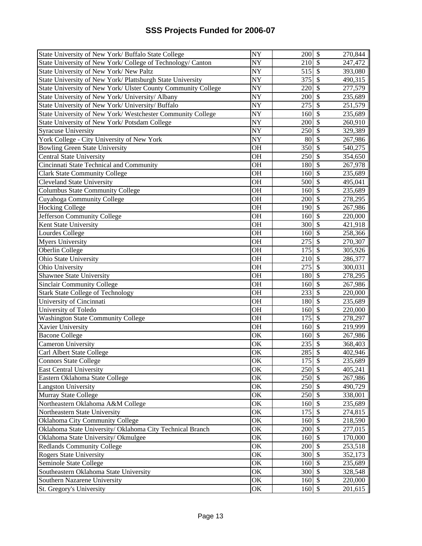| State University of New York/ Buffalo State College           | <b>NY</b>       | 200               | $\boldsymbol{\mathsf{S}}$ | 270,844 |
|---------------------------------------------------------------|-----------------|-------------------|---------------------------|---------|
| State University of New York/ College of Technology/ Canton   | NY              | 210               | $\boldsymbol{\mathsf{S}}$ | 247,472 |
| State University of New York/ New Paltz                       | $\overline{NY}$ | 515               | $\overline{\mathcal{S}}$  | 393,080 |
| State University of New York/ Plattsburgh State University    | $\overline{NY}$ | 375               | $\overline{\mathcal{S}}$  | 490,315 |
| State University of New York/ Ulster County Community College | $\overline{NY}$ | 220               | $\mathcal{S}$             | 277,579 |
| State University of New York/ University/ Albany              | $\overline{NY}$ | 200               | $\mathcal{S}$             | 235,689 |
| State University of New York/ University/ Buffalo             | <b>NY</b>       | 275               | $\overline{\mathcal{S}}$  | 251,579 |
| State University of New York/ Westchester Community College   | <b>NY</b>       | 160               | $\overline{\mathcal{S}}$  | 235,689 |
| State University of New York/Potsdam College                  | <b>NY</b>       | 200               | $\boldsymbol{\mathsf{S}}$ | 260,910 |
| Syracuse University                                           | <b>NY</b>       | 250               | $\overline{\mathcal{S}}$  | 329,389 |
| York College - City University of New York                    | <b>NY</b>       | 80                | $\overline{\mathcal{S}}$  | 267,986 |
| <b>Bowling Green State University</b>                         | $\overline{OH}$ | 350               | $\overline{\$}$           | 540,275 |
| Central State University                                      | $\overline{OH}$ | 250               | $\overline{\$}$           | 354,650 |
| Cincinnati State Technical and Community                      | <b>OH</b>       | 180               | $\overline{\mathcal{S}}$  | 267,978 |
| <b>Clark State Community College</b>                          | $\overline{OH}$ | 160               | $\overline{\$}$           | 235,689 |
| <b>Cleveland State University</b>                             | $\overline{OH}$ | 500               | $\overline{\$}$           | 495,041 |
| Columbus State Community College                              | <b>OH</b>       | 160               | $\overline{\mathcal{S}}$  | 235,689 |
| Cuyahoga Community College                                    | <b>OH</b>       | 200               | $\overline{\mathcal{S}}$  | 278,295 |
| <b>Hocking College</b>                                        | <b>OH</b>       | 190               | $\boldsymbol{\mathsf{S}}$ | 267,986 |
| Jefferson Community College                                   | <b>OH</b>       | 160               | $\mathcal{S}$             | 220,000 |
| Kent State University                                         | <b>OH</b>       | 300               | $\boldsymbol{\mathsf{S}}$ | 421,918 |
| Lourdes College                                               | <b>OH</b>       | 160               | $\mathcal{S}$             | 258,366 |
| <b>Myers University</b>                                       | <b>OH</b>       | 275               | $\mathcal{S}$             | 270,307 |
| Oberlin College                                               | $\overline{OH}$ | 175               | $\overline{\mathcal{S}}$  | 305,926 |
| Ohio State University                                         | <b>OH</b>       | 210               | $\boldsymbol{\mathsf{S}}$ | 286,377 |
| Ohio University                                               | <b>OH</b>       | 275               | $\overline{\mathcal{S}}$  | 300,031 |
| Shawnee State University                                      | $\overline{OH}$ | 180               | $\overline{\mathcal{S}}$  | 278,295 |
| <b>Sinclair Community College</b>                             | $\overline{OH}$ | 160               | $\overline{\$}$           | 267,986 |
| <b>Stark State College of Technology</b>                      | $\overline{OH}$ | $\overline{233}$  | $\overline{\mathcal{S}}$  | 220,000 |
| University of Cincinnati                                      | $\overline{OH}$ | 180               | $\overline{\$}$           | 235,689 |
| University of Toledo                                          | $\overline{OH}$ | 160               | $\overline{\mathcal{S}}$  | 220,000 |
| <b>Washington State Community College</b>                     | $\overline{OH}$ | 175               | $\sqrt{2}$                | 278,297 |
| Xavier University                                             | $\overline{OH}$ | 160               | $\overline{\$}$           | 219,999 |
| <b>Bacone College</b>                                         | OK              | 160               | $\overline{\$}$           | 267,986 |
| Cameron University                                            | OK              | 235               | $\overline{\mathcal{S}}$  | 368,403 |
| Carl Albert State College                                     | OK              | 285               | $\boldsymbol{\mathsf{S}}$ | 402,946 |
| <b>Connors State College</b>                                  | ОK              | $175 \,$ \ \$     |                           | 235,689 |
| <b>East Central University</b>                                | OK              | 250               | \$                        | 405,241 |
| Eastern Oklahoma State College                                | OK              | 250 \$            |                           | 267,986 |
| <b>Langston University</b>                                    | OK              | 250               | $\mathcal{S}$             | 490,729 |
| Murray State College                                          | OK              | 250               | $\mathcal{S}$             | 338,001 |
| Northeastern Oklahoma A&M College                             | OK              | 160               | $\mathcal{S}$             | 235,689 |
| Northeastern State University                                 | OK              | 175               | $\mathcal{S}$             | 274,815 |
| Oklahoma City Community College                               | OK              | 160               | $\mathcal{S}$             | 218,590 |
| Oklahoma State University/Oklahoma City Technical Branch      | OK              | 200               | $\overline{\mathcal{S}}$  | 277,015 |
| Oklahoma State University/Okmulgee                            | OK              | 160               | $\overline{\mathcal{S}}$  | 170,000 |
| Redlands Community College                                    | OK              | 200               | $\mathcal{S}$             | 253,518 |
| <b>Rogers State University</b>                                | OK              | 300               | $\sqrt{3}$                | 352,173 |
| Seminole State College                                        | OK              | 160               | $\mathcal{S}$             | 235,689 |
| Southeastern Oklahoma State University                        | OK              | 300               | $\mathcal{S}$             | 328,548 |
| Southern Nazarene University                                  | OK              | 160               | $\mathcal{S}$             | 220,000 |
| St. Gregory's University                                      | OK              | $160 \text{ }$ \$ |                           | 201,615 |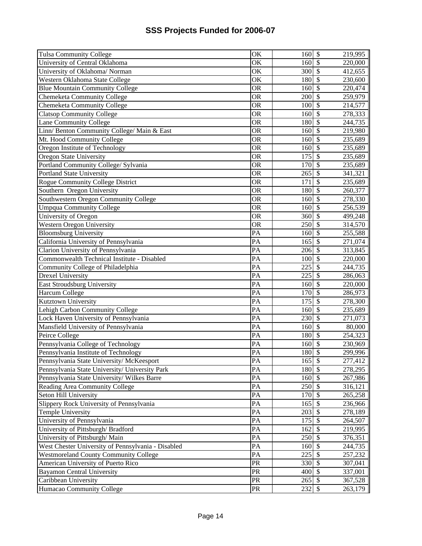| <b>Tulsa Community College</b>                     | <b>OK</b>              | 160              | $\boldsymbol{\mathsf{S}}$      | 219,995            |
|----------------------------------------------------|------------------------|------------------|--------------------------------|--------------------|
| University of Central Oklahoma                     | OK                     | 160              | $\boldsymbol{\mathsf{S}}$      | 220,000            |
| University of Oklahoma/Norman                      | $\overline{\rm OK}$    | 300              | $\overline{\mathcal{S}}$       | 412,655            |
| Western Oklahoma State College                     | OK                     | 180              | $\overline{\mathcal{S}}$       | 230,600            |
| <b>Blue Mountain Community College</b>             | $\overline{\text{OR}}$ | 160              | $\overline{\mathcal{S}}$       | 220,474            |
| Chemeketa Community College                        | $\overline{\text{OR}}$ | 200              | $\overline{\mathcal{S}}$       | 259,979            |
| <b>Chemeketa Community College</b>                 | OR                     | 100              | $\overline{\mathcal{S}}$       | 214,577            |
| <b>Clatsop Community College</b>                   | <b>OR</b>              | 160              | $\overline{\mathcal{S}}$       | 278,333            |
| Lane Community College                             | $\overline{\text{OR}}$ | 180              | $\overline{\mathcal{S}}$       | 244,735            |
| Linn/Benton Community College/Main & East          | $\overline{\text{OR}}$ | 160              | $\overline{\mathcal{S}}$       | 219,980            |
| Mt. Hood Community College                         | <b>OR</b>              | 160              | $\overline{\mathcal{S}}$       | 235,689            |
| Oregon Institute of Technology                     | $\overline{\text{OR}}$ | 160              | $\overline{\mathcal{S}}$       | 235,689            |
| Oregon State University                            | <b>OR</b>              | 175              | $\overline{\mathcal{S}}$       | 235,689            |
| Portland Community College/ Sylvania               | $\overline{\text{OR}}$ | 170              | $\sqrt{S}$                     | 235,689            |
| <b>Portland State University</b>                   | <b>OR</b>              | 265              | $\overline{\$}$                | 341,321            |
| Rogue Community College District                   | <b>OR</b>              | 171              | $\overline{\mathcal{S}}$       | 235,689            |
| Southern Oregon University                         | <b>OR</b>              | 180              | $\mathcal{S}$                  | 260,377            |
| Southwestern Oregon Community College              | <b>OR</b>              | 160              | $\mathcal{S}$                  | 278,330            |
| <b>Umpqua Community College</b>                    | <b>OR</b>              | 160              | $\mathcal{S}$                  | 256,539            |
| University of Oregon                               | <b>OR</b>              | 360              | $\mathcal{S}$                  | 499,248            |
| Western Oregon University                          | <b>OR</b>              | 250              | $\mathcal{S}$                  | 314,570            |
| <b>Bloomsburg University</b>                       | $\overline{PA}$        | 160              | $\overline{\mathcal{S}}$       | 255,588            |
| California University of Pennsylvania              | $\overline{PA}$        | 165              | $\overline{\mathcal{S}}$       | 271,074            |
| Clarion University of Pennsylvania                 | PA                     | 206              | $\overline{\mathcal{S}}$       | 313,845            |
| Commonwealth Technical Institute - Disabled        | PA                     | 100              | $\overline{\mathcal{S}}$       | 220,000            |
| Community College of Philadelphia                  | $\overline{PA}$        | 225              | $\overline{\mathcal{S}}$       | 244,735            |
| <b>Drexel University</b>                           | $\overline{PA}$        | 225              | $\overline{\mathcal{S}}$       | 286,063            |
| East Stroudsburg University                        | PA                     | 160              | $\overline{\mathcal{S}}$       | 220,000            |
| Harcum College                                     | $\overline{PA}$        | 170              | $\overline{\mathcal{S}}$       | 286,973            |
| <b>Kutztown University</b>                         | $\overline{PA}$        | $\overline{175}$ | $\mathcal{S}$                  | 278,300            |
| Lehigh Carbon Community College                    | PA                     | 160              | $\overline{\$}$                | 235,689            |
| Lock Haven University of Pennsylvania              | PA                     | 230              | $\overline{\$}$                | 271,073            |
| Mansfield University of Pennsylvania               | PA                     | 160              | $\overline{\$}$                | 80,000             |
| Peirce College                                     | PA                     | 180              | $\boldsymbol{\mathsf{S}}$      | 254,323            |
| Pennsylvania College of Technology                 | PA                     | 160              | $\mathcal{S}$                  | 230,969            |
| Pennsylvania Institute of Technology               |                        |                  |                                | 299,996            |
|                                                    |                        |                  |                                |                    |
|                                                    | PA                     | 180              | $\overline{\mathcal{S}}$       |                    |
| Pennsylvania State University/McKeesport           | PA                     | $165$ \$         |                                | 277,412            |
| Pennsylvania State University/ University Park     | PA                     | 180 \$           |                                | 278,295            |
| Pennsylvania State University/ Wilkes Barre        | PA                     | 160 \$           |                                | 267,986            |
| Reading Area Community College                     | PA                     | 250              | $\mathcal{S}$                  | 316,121            |
| Seton Hill University                              | PA                     | 170              | $\mathcal{S}$                  | 265,258            |
| Slippery Rock University of Pennsylvania           | PA                     | 165              | $\mathcal{S}$                  | 236,966            |
| Temple University                                  | PA                     | 203              | $\overline{\mathcal{S}}$       | 278,189            |
| University of Pennsylvania                         | PA                     | 175              | $\mathcal{S}$                  | 264,507            |
| University of Pittsburgh/ Bradford                 | PA                     | 162              | $\overline{\mathcal{S}}$       | 219,995            |
| University of Pittsburgh/Main                      | PA                     | 250              | $\mathcal{S}$                  | 376,351            |
| West Chester University of Pennsylvania - Disabled | PA                     | 160              | $\overline{\mathcal{S}}$       | 244,735            |
| <b>Westmoreland County Community College</b>       | PA                     | 225              | $\boldsymbol{\mathsf{S}}$      | 257,232            |
| American University of Puerto Rico                 | PR                     | 330              | $\mathcal{S}$                  | 307,041            |
| <b>Bayamon Central University</b>                  | PR                     | 400              | $\mathcal{S}$                  | 337,001            |
| Caribbean University<br>Humacao Community College  | <b>PR</b><br>PR        | 265<br>232       | $\mathcal{S}$<br>$\mathcal{S}$ | 367,528<br>263,179 |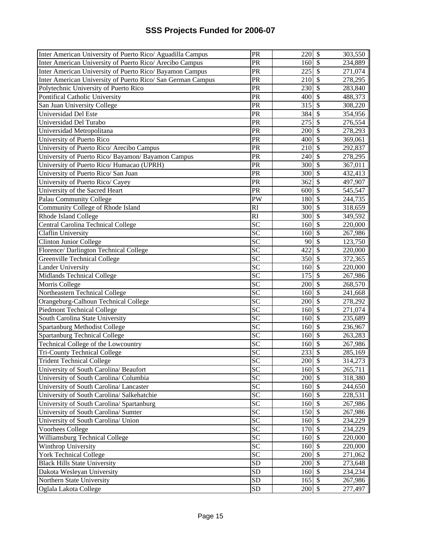| Inter American University of Puerto Rico/ Aguadilla Campus  | PR              | 220                          | $\boldsymbol{\mathsf{S}}$ | 303,550 |
|-------------------------------------------------------------|-----------------|------------------------------|---------------------------|---------|
| Inter American University of Puerto Rico/ Arecibo Campus    | PR              | 160                          | $\mathcal{S}$             | 234,889 |
| Inter American University of Puerto Rico/ Bayamon Campus    | PR              | 225                          | $\mathcal{S}$             | 271,074 |
| Inter American University of Puerto Rico/ San German Campus | PR              | 210                          | $\overline{\mathcal{S}}$  | 278,295 |
| Polytechnic University of Puerto Rico                       | PR              | 230                          | $\overline{\mathcal{S}}$  | 283,840 |
| Pontifical Catholic University                              | PR              | 400                          | $\mathcal{S}$             | 488,373 |
| San Juan University College                                 | PR              | 315                          | $\overline{\mathcal{S}}$  | 308,220 |
| Universidad Del Este                                        | PR              | 384                          | $\mathcal{S}$             | 354,956 |
| Universidad Del Turabo                                      | PR              | 275                          | $\overline{\mathcal{S}}$  | 276,554 |
| Universidad Metropolitana                                   | PR              | 200                          | $\mathcal{S}$             | 278,293 |
| University of Puerto Rico                                   | PR              | 400                          | $\overline{\mathcal{S}}$  | 369,061 |
| University of Puerto Rico/ Arecibo Campus                   | PR              | 210                          | $\mathcal{S}$             | 292,837 |
| University of Puerto Rico/ Bayamon/ Bayamon Campus          | PR              | 240                          | $\overline{\mathcal{S}}$  | 278,295 |
| University of Puerto Rico/ Humacao (UPRH)                   | PR              | 300                          | $\overline{\mathcal{S}}$  | 367,011 |
| University of Puerto Rico/ San Juan                         | PR              | 300                          | $\overline{\mathcal{S}}$  | 432,413 |
| University of Puerto Rico/ Cayey                            | PR              | 362                          | $\overline{\mathcal{S}}$  | 497,907 |
| University of the Sacred Heart                              | PR              | 600                          | $\overline{\mathcal{S}}$  | 545,547 |
| Palau Community College                                     | PW              | 180                          | \$                        | 244,735 |
| Community College of Rhode Island                           | RI              | 300                          | $\overline{\mathcal{S}}$  | 318,659 |
| Rhode Island College                                        | RI              | 300                          | $\mathcal{S}$             | 349,592 |
| Central Carolina Technical College                          | <b>SC</b>       | 160                          | $\mathcal{S}$             | 220,000 |
| Claflin University                                          | $\overline{SC}$ | 160                          | $\mathcal{S}$             | 267,986 |
| <b>Clinton Junior College</b>                               | SC              | 90                           | $\mathcal{S}$             | 123,750 |
| Florence/ Darlington Technical College                      | SC              | 422                          | $\mathcal{S}$             | 220,000 |
| Greenville Technical College                                | $\overline{SC}$ | 350                          | $\overline{\mathcal{S}}$  | 372,365 |
| <b>Lander University</b>                                    | <b>SC</b>       | 160                          | $\mathcal{S}$             | 220,000 |
| Midlands Technical College                                  | SC              | 175                          | $\overline{\mathcal{S}}$  | 267,986 |
| Morris College                                              | SC              | 200                          | $\overline{\mathcal{S}}$  | 268,570 |
| Northeastern Technical College                              | $\overline{SC}$ | 160                          | $\overline{\mathcal{S}}$  | 241,668 |
| Orangeburg-Calhoun Technical College                        | SC              | 200                          | $\overline{\mathcal{S}}$  | 278,292 |
| <b>Piedmont Technical College</b>                           | SC              | 160                          | $\overline{\$}$           | 271,074 |
| South Carolina State University                             | SC              | 160                          | $\overline{\mathcal{S}}$  | 235,689 |
| Spartanburg Methodist College                               | $\overline{SC}$ | 160                          | $\overline{\$}$           | 236,967 |
| Spartanburg Technical College                               | $\overline{SC}$ | 160                          | $\overline{\$}$           | 263,283 |
| Technical College of the Lowcountry                         | SC              | 160                          | $\overline{\mathcal{S}}$  | 267,986 |
| <b>Tri-County Technical College</b>                         | SC              | 233                          | $\overline{\mathcal{S}}$  | 285,169 |
| <b>Trident Technical College</b>                            | <b>SC</b>       | $200$ \$                     |                           | 314,273 |
| University of South Carolina/ Beaufort                      | $\overline{SC}$ | 160S                         |                           | 265,711 |
| University of South Carolina/ Columbia                      | <b>SC</b>       | $200 \text{ }$ \$            |                           | 318,380 |
| University of South Carolina/ Lancaster                     | SC              | 160                          | $\mathcal{S}$             | 244,650 |
| University of South Carolina/ Salkehatchie                  | SC              | 160                          | $\mathcal{S}$             | 228,531 |
| University of South Carolina/ Spartanburg                   | $\overline{SC}$ | 160                          | $\mathcal{S}$             | 267,986 |
| University of South Carolina/ Sumter                        | <b>SC</b>       | 150                          | $\mathcal{S}$             | 267,986 |
| University of South Carolina/ Union                         | <b>SC</b>       | 160                          | $\mathcal{S}$             | 234,229 |
| Voorhees College                                            | SC              | 170                          | $\mathcal{S}$             | 234,229 |
| Williamsburg Technical College                              | SC              | $160\overline{\smash{)}\,5}$ |                           | 220,000 |
| Winthrop University                                         | $\overline{SC}$ | 160                          | $\overline{\mathcal{S}}$  | 220,000 |
| <b>York Technical College</b>                               | SC              | 200                          | $\overline{\mathcal{S}}$  | 271,062 |
| <b>Black Hills State University</b>                         | <b>SD</b>       | 200                          | $\overline{\mathcal{S}}$  | 273,648 |
| Dakota Wesleyan University                                  | SD              | 160                          | $\overline{\mathcal{S}}$  | 234,234 |
| Northern State University                                   | SD              | 165                          | $\overline{\mathcal{S}}$  | 267,986 |
| Oglala Lakota College                                       | SD              | 200 \$                       |                           | 277,497 |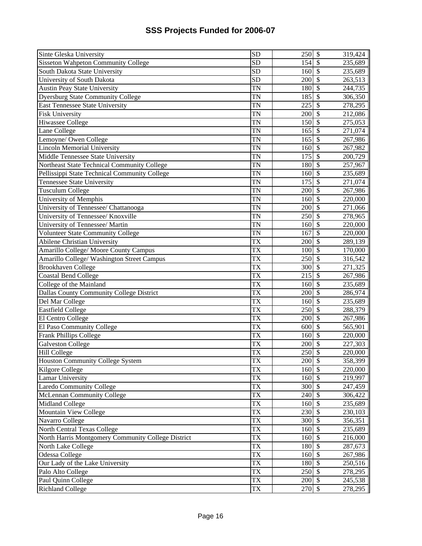| <b>Sisseton Wahpeton Community College</b><br><b>SD</b><br>$\mathcal{S}$<br>235,689<br>154<br>South Dakota State University<br>$\overline{SD}$<br>$\overline{\mathcal{S}}$<br>160<br>235,689<br>$\overline{SD}$<br>University of South Dakota<br>$\mathcal{S}$<br>200<br>263,513<br>$\overline{\mathcal{S}}$<br><b>Austin Peay State University</b><br>$\overline{\text{TN}}$<br>180<br>244,735<br>$\overline{\mathcal{S}}$<br><b>Dyersburg State Community College</b><br>$\overline{\text{TN}}$<br>185<br>306,350<br>$\overline{\$}$<br>$\overline{\text{TN}}$<br>225<br>278,295<br>$\overline{\mathcal{S}}$<br><b>TN</b><br>200<br>212,086<br>$\overline{\mathcal{S}}$<br>TN<br>275,053<br>150<br>$\overline{\mathcal{S}}$<br><b>TN</b><br>271,074<br>165<br>$\overline{\mathcal{S}}$<br>TN<br>Lemoyne/ Owen College<br>165<br>267,986<br>$\overline{\mathcal{S}}$<br><b>Lincoln Memorial University</b><br>$\overline{\text{TN}}$<br>267,982<br>160<br>$\overline{\mathcal{S}}$<br><b>TN</b><br>175<br>200,729<br>$\overline{\mathcal{S}}$<br>TN<br>Northeast State Technical Community College<br>180<br>257,967<br>$\overline{\mathcal{S}}$<br>TN<br>Pellissippi State Technical Community College<br>160<br>235,689<br>$\overline{\mathcal{S}}$<br><b>Tennessee State University</b><br>TN<br>175<br>271,074<br>$\mathcal{S}$<br>Tusculum College<br>TN<br>200<br>267,986<br><b>TN</b><br>$\mathcal{S}$<br>University of Memphis<br>160<br>220,000<br>$\mathcal{S}$<br>University of Tennessee/ Chattanooga<br>TN<br>200<br>271,066<br>University of Tennessee/ Knoxville<br>TN<br>$\mathcal{S}$<br>250<br>278,965<br>TN<br>$\mathcal{S}$<br>University of Tennessee/ Martin<br>220,000<br>160<br>$\overline{\mathcal{S}}$<br><b>TN</b><br><b>Volunteer State Community College</b><br>167<br>220,000<br>$\overline{\mathcal{S}}$<br><b>Abilene Christian University</b><br>TX<br>200<br>289,139<br>$\overline{\text{TX}}$<br>$\overline{\mathcal{S}}$<br>Amarillo College/ Moore County Campus<br>100<br>170,000<br>$\overline{\mathcal{S}}$<br>Amarillo College/ Washington Street Campus<br><b>TX</b><br>250<br>316,542<br>$\overline{\mathcal{S}}$<br>$\overline{\text{TX}}$<br><b>Brookhaven College</b><br>271,325<br>300<br>$\overline{\mathcal{S}}$<br>$\overline{\text{TX}}$<br>Coastal Bend College<br>215<br>267,986<br>$\overline{\mathcal{S}}$<br>$\overline{\text{TX}}$<br>College of the Mainland<br>160<br>235,689<br>$\overline{\mathcal{S}}$<br>$\overline{\text{TX}}$<br>Dallas County Community College District<br>200<br>286,974<br>$\sqrt{S}$<br>$\overline{\text{TX}}$<br>Del Mar College<br>235,689<br>160<br>$\overline{\$}$<br>$\overline{\text{TX}}$<br><b>Eastfield College</b><br>250<br>288,379<br>$\overline{\$}$<br>$\overline{\text{TX}}$<br>El Centro College<br>200<br>267,986<br>$\overline{\text{TX}}$<br>$\overline{\mathcal{S}}$<br>El Paso Community College<br>600<br>565,901<br>$\boldsymbol{\mathsf{S}}$<br><b>Frank Phillips College</b><br>TX<br>160<br>220,000<br>TX<br>$\mathcal{S}$<br><b>Galveston College</b><br>200<br>227,303<br>$\overline{\mathcal{S}}$<br><b>TX</b><br><b>Hill College</b><br>250<br>220,000<br>Houston Community College System<br>TX<br>200 \$<br>358,399<br><b>TX</b><br>160 \$<br>Kilgore College<br>220,000<br><b>TX</b><br>$160\overline{\smash{5}}$<br>Lamar University<br>219,997<br>$\mathcal{S}$<br>Laredo Community College<br>TX<br>300<br>247,459<br><b>TX</b><br>$\mathcal{S}$<br>McLennan Community College<br>240<br>306,422<br>$\overline{\mathcal{S}}$<br><b>TX</b><br>Midland College<br>235,689<br>160<br>$\overline{\mathcal{S}}$<br><b>TX</b><br>Mountain View College<br>230<br>230,103<br>$\overline{\mathcal{S}}$<br>TX<br>Navarro College<br>300<br>356,351<br>$\overline{\mathcal{S}}$<br>$\overline{\text{TX}}$<br>North Central Texas College<br>235,689<br>160<br>North Harris Montgomery Community College District<br>$\sqrt$<br>TX<br>160<br>216,000<br>$\overline{\text{TX}}$<br>$\overline{\mathcal{S}}$<br>North Lake College<br>180<br>287,673<br>$\overline{\mathcal{S}}$<br>TX<br>Odessa College<br>160<br>267,986 | Sinte Gleska University                | SD | 250 | $\boldsymbol{\mathsf{S}}$ | 319,424 |
|------------------------------------------------------------------------------------------------------------------------------------------------------------------------------------------------------------------------------------------------------------------------------------------------------------------------------------------------------------------------------------------------------------------------------------------------------------------------------------------------------------------------------------------------------------------------------------------------------------------------------------------------------------------------------------------------------------------------------------------------------------------------------------------------------------------------------------------------------------------------------------------------------------------------------------------------------------------------------------------------------------------------------------------------------------------------------------------------------------------------------------------------------------------------------------------------------------------------------------------------------------------------------------------------------------------------------------------------------------------------------------------------------------------------------------------------------------------------------------------------------------------------------------------------------------------------------------------------------------------------------------------------------------------------------------------------------------------------------------------------------------------------------------------------------------------------------------------------------------------------------------------------------------------------------------------------------------------------------------------------------------------------------------------------------------------------------------------------------------------------------------------------------------------------------------------------------------------------------------------------------------------------------------------------------------------------------------------------------------------------------------------------------------------------------------------------------------------------------------------------------------------------------------------------------------------------------------------------------------------------------------------------------------------------------------------------------------------------------------------------------------------------------------------------------------------------------------------------------------------------------------------------------------------------------------------------------------------------------------------------------------------------------------------------------------------------------------------------------------------------------------------------------------------------------------------------------------------------------------------------------------------------------------------------------------------------------------------------------------------------------------------------------------------------------------------------------------------------------------------------------------------------------------------------------------------------------------------------------------------------------------------------------------------------------------------------------------------------------------------------------------------------------------------------------------------------------------------------------------------------------------------------------------------------------------------------------------------------------------------------------------------------------------------------------------------------------------------------------------------------------------------|----------------------------------------|----|-----|---------------------------|---------|
|                                                                                                                                                                                                                                                                                                                                                                                                                                                                                                                                                                                                                                                                                                                                                                                                                                                                                                                                                                                                                                                                                                                                                                                                                                                                                                                                                                                                                                                                                                                                                                                                                                                                                                                                                                                                                                                                                                                                                                                                                                                                                                                                                                                                                                                                                                                                                                                                                                                                                                                                                                                                                                                                                                                                                                                                                                                                                                                                                                                                                                                                                                                                                                                                                                                                                                                                                                                                                                                                                                                                                                                                                                                                                                                                                                                                                                                                                                                                                                                                                                                                                                                                          |                                        |    |     |                           |         |
|                                                                                                                                                                                                                                                                                                                                                                                                                                                                                                                                                                                                                                                                                                                                                                                                                                                                                                                                                                                                                                                                                                                                                                                                                                                                                                                                                                                                                                                                                                                                                                                                                                                                                                                                                                                                                                                                                                                                                                                                                                                                                                                                                                                                                                                                                                                                                                                                                                                                                                                                                                                                                                                                                                                                                                                                                                                                                                                                                                                                                                                                                                                                                                                                                                                                                                                                                                                                                                                                                                                                                                                                                                                                                                                                                                                                                                                                                                                                                                                                                                                                                                                                          |                                        |    |     |                           |         |
|                                                                                                                                                                                                                                                                                                                                                                                                                                                                                                                                                                                                                                                                                                                                                                                                                                                                                                                                                                                                                                                                                                                                                                                                                                                                                                                                                                                                                                                                                                                                                                                                                                                                                                                                                                                                                                                                                                                                                                                                                                                                                                                                                                                                                                                                                                                                                                                                                                                                                                                                                                                                                                                                                                                                                                                                                                                                                                                                                                                                                                                                                                                                                                                                                                                                                                                                                                                                                                                                                                                                                                                                                                                                                                                                                                                                                                                                                                                                                                                                                                                                                                                                          |                                        |    |     |                           |         |
|                                                                                                                                                                                                                                                                                                                                                                                                                                                                                                                                                                                                                                                                                                                                                                                                                                                                                                                                                                                                                                                                                                                                                                                                                                                                                                                                                                                                                                                                                                                                                                                                                                                                                                                                                                                                                                                                                                                                                                                                                                                                                                                                                                                                                                                                                                                                                                                                                                                                                                                                                                                                                                                                                                                                                                                                                                                                                                                                                                                                                                                                                                                                                                                                                                                                                                                                                                                                                                                                                                                                                                                                                                                                                                                                                                                                                                                                                                                                                                                                                                                                                                                                          |                                        |    |     |                           |         |
|                                                                                                                                                                                                                                                                                                                                                                                                                                                                                                                                                                                                                                                                                                                                                                                                                                                                                                                                                                                                                                                                                                                                                                                                                                                                                                                                                                                                                                                                                                                                                                                                                                                                                                                                                                                                                                                                                                                                                                                                                                                                                                                                                                                                                                                                                                                                                                                                                                                                                                                                                                                                                                                                                                                                                                                                                                                                                                                                                                                                                                                                                                                                                                                                                                                                                                                                                                                                                                                                                                                                                                                                                                                                                                                                                                                                                                                                                                                                                                                                                                                                                                                                          |                                        |    |     |                           |         |
|                                                                                                                                                                                                                                                                                                                                                                                                                                                                                                                                                                                                                                                                                                                                                                                                                                                                                                                                                                                                                                                                                                                                                                                                                                                                                                                                                                                                                                                                                                                                                                                                                                                                                                                                                                                                                                                                                                                                                                                                                                                                                                                                                                                                                                                                                                                                                                                                                                                                                                                                                                                                                                                                                                                                                                                                                                                                                                                                                                                                                                                                                                                                                                                                                                                                                                                                                                                                                                                                                                                                                                                                                                                                                                                                                                                                                                                                                                                                                                                                                                                                                                                                          | <b>East Tennessee State University</b> |    |     |                           |         |
|                                                                                                                                                                                                                                                                                                                                                                                                                                                                                                                                                                                                                                                                                                                                                                                                                                                                                                                                                                                                                                                                                                                                                                                                                                                                                                                                                                                                                                                                                                                                                                                                                                                                                                                                                                                                                                                                                                                                                                                                                                                                                                                                                                                                                                                                                                                                                                                                                                                                                                                                                                                                                                                                                                                                                                                                                                                                                                                                                                                                                                                                                                                                                                                                                                                                                                                                                                                                                                                                                                                                                                                                                                                                                                                                                                                                                                                                                                                                                                                                                                                                                                                                          | <b>Fisk University</b>                 |    |     |                           |         |
|                                                                                                                                                                                                                                                                                                                                                                                                                                                                                                                                                                                                                                                                                                                                                                                                                                                                                                                                                                                                                                                                                                                                                                                                                                                                                                                                                                                                                                                                                                                                                                                                                                                                                                                                                                                                                                                                                                                                                                                                                                                                                                                                                                                                                                                                                                                                                                                                                                                                                                                                                                                                                                                                                                                                                                                                                                                                                                                                                                                                                                                                                                                                                                                                                                                                                                                                                                                                                                                                                                                                                                                                                                                                                                                                                                                                                                                                                                                                                                                                                                                                                                                                          | <b>Hiwassee College</b>                |    |     |                           |         |
|                                                                                                                                                                                                                                                                                                                                                                                                                                                                                                                                                                                                                                                                                                                                                                                                                                                                                                                                                                                                                                                                                                                                                                                                                                                                                                                                                                                                                                                                                                                                                                                                                                                                                                                                                                                                                                                                                                                                                                                                                                                                                                                                                                                                                                                                                                                                                                                                                                                                                                                                                                                                                                                                                                                                                                                                                                                                                                                                                                                                                                                                                                                                                                                                                                                                                                                                                                                                                                                                                                                                                                                                                                                                                                                                                                                                                                                                                                                                                                                                                                                                                                                                          | Lane College                           |    |     |                           |         |
|                                                                                                                                                                                                                                                                                                                                                                                                                                                                                                                                                                                                                                                                                                                                                                                                                                                                                                                                                                                                                                                                                                                                                                                                                                                                                                                                                                                                                                                                                                                                                                                                                                                                                                                                                                                                                                                                                                                                                                                                                                                                                                                                                                                                                                                                                                                                                                                                                                                                                                                                                                                                                                                                                                                                                                                                                                                                                                                                                                                                                                                                                                                                                                                                                                                                                                                                                                                                                                                                                                                                                                                                                                                                                                                                                                                                                                                                                                                                                                                                                                                                                                                                          |                                        |    |     |                           |         |
|                                                                                                                                                                                                                                                                                                                                                                                                                                                                                                                                                                                                                                                                                                                                                                                                                                                                                                                                                                                                                                                                                                                                                                                                                                                                                                                                                                                                                                                                                                                                                                                                                                                                                                                                                                                                                                                                                                                                                                                                                                                                                                                                                                                                                                                                                                                                                                                                                                                                                                                                                                                                                                                                                                                                                                                                                                                                                                                                                                                                                                                                                                                                                                                                                                                                                                                                                                                                                                                                                                                                                                                                                                                                                                                                                                                                                                                                                                                                                                                                                                                                                                                                          |                                        |    |     |                           |         |
|                                                                                                                                                                                                                                                                                                                                                                                                                                                                                                                                                                                                                                                                                                                                                                                                                                                                                                                                                                                                                                                                                                                                                                                                                                                                                                                                                                                                                                                                                                                                                                                                                                                                                                                                                                                                                                                                                                                                                                                                                                                                                                                                                                                                                                                                                                                                                                                                                                                                                                                                                                                                                                                                                                                                                                                                                                                                                                                                                                                                                                                                                                                                                                                                                                                                                                                                                                                                                                                                                                                                                                                                                                                                                                                                                                                                                                                                                                                                                                                                                                                                                                                                          | Middle Tennessee State University      |    |     |                           |         |
|                                                                                                                                                                                                                                                                                                                                                                                                                                                                                                                                                                                                                                                                                                                                                                                                                                                                                                                                                                                                                                                                                                                                                                                                                                                                                                                                                                                                                                                                                                                                                                                                                                                                                                                                                                                                                                                                                                                                                                                                                                                                                                                                                                                                                                                                                                                                                                                                                                                                                                                                                                                                                                                                                                                                                                                                                                                                                                                                                                                                                                                                                                                                                                                                                                                                                                                                                                                                                                                                                                                                                                                                                                                                                                                                                                                                                                                                                                                                                                                                                                                                                                                                          |                                        |    |     |                           |         |
|                                                                                                                                                                                                                                                                                                                                                                                                                                                                                                                                                                                                                                                                                                                                                                                                                                                                                                                                                                                                                                                                                                                                                                                                                                                                                                                                                                                                                                                                                                                                                                                                                                                                                                                                                                                                                                                                                                                                                                                                                                                                                                                                                                                                                                                                                                                                                                                                                                                                                                                                                                                                                                                                                                                                                                                                                                                                                                                                                                                                                                                                                                                                                                                                                                                                                                                                                                                                                                                                                                                                                                                                                                                                                                                                                                                                                                                                                                                                                                                                                                                                                                                                          |                                        |    |     |                           |         |
|                                                                                                                                                                                                                                                                                                                                                                                                                                                                                                                                                                                                                                                                                                                                                                                                                                                                                                                                                                                                                                                                                                                                                                                                                                                                                                                                                                                                                                                                                                                                                                                                                                                                                                                                                                                                                                                                                                                                                                                                                                                                                                                                                                                                                                                                                                                                                                                                                                                                                                                                                                                                                                                                                                                                                                                                                                                                                                                                                                                                                                                                                                                                                                                                                                                                                                                                                                                                                                                                                                                                                                                                                                                                                                                                                                                                                                                                                                                                                                                                                                                                                                                                          |                                        |    |     |                           |         |
|                                                                                                                                                                                                                                                                                                                                                                                                                                                                                                                                                                                                                                                                                                                                                                                                                                                                                                                                                                                                                                                                                                                                                                                                                                                                                                                                                                                                                                                                                                                                                                                                                                                                                                                                                                                                                                                                                                                                                                                                                                                                                                                                                                                                                                                                                                                                                                                                                                                                                                                                                                                                                                                                                                                                                                                                                                                                                                                                                                                                                                                                                                                                                                                                                                                                                                                                                                                                                                                                                                                                                                                                                                                                                                                                                                                                                                                                                                                                                                                                                                                                                                                                          |                                        |    |     |                           |         |
|                                                                                                                                                                                                                                                                                                                                                                                                                                                                                                                                                                                                                                                                                                                                                                                                                                                                                                                                                                                                                                                                                                                                                                                                                                                                                                                                                                                                                                                                                                                                                                                                                                                                                                                                                                                                                                                                                                                                                                                                                                                                                                                                                                                                                                                                                                                                                                                                                                                                                                                                                                                                                                                                                                                                                                                                                                                                                                                                                                                                                                                                                                                                                                                                                                                                                                                                                                                                                                                                                                                                                                                                                                                                                                                                                                                                                                                                                                                                                                                                                                                                                                                                          |                                        |    |     |                           |         |
|                                                                                                                                                                                                                                                                                                                                                                                                                                                                                                                                                                                                                                                                                                                                                                                                                                                                                                                                                                                                                                                                                                                                                                                                                                                                                                                                                                                                                                                                                                                                                                                                                                                                                                                                                                                                                                                                                                                                                                                                                                                                                                                                                                                                                                                                                                                                                                                                                                                                                                                                                                                                                                                                                                                                                                                                                                                                                                                                                                                                                                                                                                                                                                                                                                                                                                                                                                                                                                                                                                                                                                                                                                                                                                                                                                                                                                                                                                                                                                                                                                                                                                                                          |                                        |    |     |                           |         |
|                                                                                                                                                                                                                                                                                                                                                                                                                                                                                                                                                                                                                                                                                                                                                                                                                                                                                                                                                                                                                                                                                                                                                                                                                                                                                                                                                                                                                                                                                                                                                                                                                                                                                                                                                                                                                                                                                                                                                                                                                                                                                                                                                                                                                                                                                                                                                                                                                                                                                                                                                                                                                                                                                                                                                                                                                                                                                                                                                                                                                                                                                                                                                                                                                                                                                                                                                                                                                                                                                                                                                                                                                                                                                                                                                                                                                                                                                                                                                                                                                                                                                                                                          |                                        |    |     |                           |         |
|                                                                                                                                                                                                                                                                                                                                                                                                                                                                                                                                                                                                                                                                                                                                                                                                                                                                                                                                                                                                                                                                                                                                                                                                                                                                                                                                                                                                                                                                                                                                                                                                                                                                                                                                                                                                                                                                                                                                                                                                                                                                                                                                                                                                                                                                                                                                                                                                                                                                                                                                                                                                                                                                                                                                                                                                                                                                                                                                                                                                                                                                                                                                                                                                                                                                                                                                                                                                                                                                                                                                                                                                                                                                                                                                                                                                                                                                                                                                                                                                                                                                                                                                          |                                        |    |     |                           |         |
|                                                                                                                                                                                                                                                                                                                                                                                                                                                                                                                                                                                                                                                                                                                                                                                                                                                                                                                                                                                                                                                                                                                                                                                                                                                                                                                                                                                                                                                                                                                                                                                                                                                                                                                                                                                                                                                                                                                                                                                                                                                                                                                                                                                                                                                                                                                                                                                                                                                                                                                                                                                                                                                                                                                                                                                                                                                                                                                                                                                                                                                                                                                                                                                                                                                                                                                                                                                                                                                                                                                                                                                                                                                                                                                                                                                                                                                                                                                                                                                                                                                                                                                                          |                                        |    |     |                           |         |
|                                                                                                                                                                                                                                                                                                                                                                                                                                                                                                                                                                                                                                                                                                                                                                                                                                                                                                                                                                                                                                                                                                                                                                                                                                                                                                                                                                                                                                                                                                                                                                                                                                                                                                                                                                                                                                                                                                                                                                                                                                                                                                                                                                                                                                                                                                                                                                                                                                                                                                                                                                                                                                                                                                                                                                                                                                                                                                                                                                                                                                                                                                                                                                                                                                                                                                                                                                                                                                                                                                                                                                                                                                                                                                                                                                                                                                                                                                                                                                                                                                                                                                                                          |                                        |    |     |                           |         |
|                                                                                                                                                                                                                                                                                                                                                                                                                                                                                                                                                                                                                                                                                                                                                                                                                                                                                                                                                                                                                                                                                                                                                                                                                                                                                                                                                                                                                                                                                                                                                                                                                                                                                                                                                                                                                                                                                                                                                                                                                                                                                                                                                                                                                                                                                                                                                                                                                                                                                                                                                                                                                                                                                                                                                                                                                                                                                                                                                                                                                                                                                                                                                                                                                                                                                                                                                                                                                                                                                                                                                                                                                                                                                                                                                                                                                                                                                                                                                                                                                                                                                                                                          |                                        |    |     |                           |         |
|                                                                                                                                                                                                                                                                                                                                                                                                                                                                                                                                                                                                                                                                                                                                                                                                                                                                                                                                                                                                                                                                                                                                                                                                                                                                                                                                                                                                                                                                                                                                                                                                                                                                                                                                                                                                                                                                                                                                                                                                                                                                                                                                                                                                                                                                                                                                                                                                                                                                                                                                                                                                                                                                                                                                                                                                                                                                                                                                                                                                                                                                                                                                                                                                                                                                                                                                                                                                                                                                                                                                                                                                                                                                                                                                                                                                                                                                                                                                                                                                                                                                                                                                          |                                        |    |     |                           |         |
|                                                                                                                                                                                                                                                                                                                                                                                                                                                                                                                                                                                                                                                                                                                                                                                                                                                                                                                                                                                                                                                                                                                                                                                                                                                                                                                                                                                                                                                                                                                                                                                                                                                                                                                                                                                                                                                                                                                                                                                                                                                                                                                                                                                                                                                                                                                                                                                                                                                                                                                                                                                                                                                                                                                                                                                                                                                                                                                                                                                                                                                                                                                                                                                                                                                                                                                                                                                                                                                                                                                                                                                                                                                                                                                                                                                                                                                                                                                                                                                                                                                                                                                                          |                                        |    |     |                           |         |
|                                                                                                                                                                                                                                                                                                                                                                                                                                                                                                                                                                                                                                                                                                                                                                                                                                                                                                                                                                                                                                                                                                                                                                                                                                                                                                                                                                                                                                                                                                                                                                                                                                                                                                                                                                                                                                                                                                                                                                                                                                                                                                                                                                                                                                                                                                                                                                                                                                                                                                                                                                                                                                                                                                                                                                                                                                                                                                                                                                                                                                                                                                                                                                                                                                                                                                                                                                                                                                                                                                                                                                                                                                                                                                                                                                                                                                                                                                                                                                                                                                                                                                                                          |                                        |    |     |                           |         |
|                                                                                                                                                                                                                                                                                                                                                                                                                                                                                                                                                                                                                                                                                                                                                                                                                                                                                                                                                                                                                                                                                                                                                                                                                                                                                                                                                                                                                                                                                                                                                                                                                                                                                                                                                                                                                                                                                                                                                                                                                                                                                                                                                                                                                                                                                                                                                                                                                                                                                                                                                                                                                                                                                                                                                                                                                                                                                                                                                                                                                                                                                                                                                                                                                                                                                                                                                                                                                                                                                                                                                                                                                                                                                                                                                                                                                                                                                                                                                                                                                                                                                                                                          |                                        |    |     |                           |         |
|                                                                                                                                                                                                                                                                                                                                                                                                                                                                                                                                                                                                                                                                                                                                                                                                                                                                                                                                                                                                                                                                                                                                                                                                                                                                                                                                                                                                                                                                                                                                                                                                                                                                                                                                                                                                                                                                                                                                                                                                                                                                                                                                                                                                                                                                                                                                                                                                                                                                                                                                                                                                                                                                                                                                                                                                                                                                                                                                                                                                                                                                                                                                                                                                                                                                                                                                                                                                                                                                                                                                                                                                                                                                                                                                                                                                                                                                                                                                                                                                                                                                                                                                          |                                        |    |     |                           |         |
|                                                                                                                                                                                                                                                                                                                                                                                                                                                                                                                                                                                                                                                                                                                                                                                                                                                                                                                                                                                                                                                                                                                                                                                                                                                                                                                                                                                                                                                                                                                                                                                                                                                                                                                                                                                                                                                                                                                                                                                                                                                                                                                                                                                                                                                                                                                                                                                                                                                                                                                                                                                                                                                                                                                                                                                                                                                                                                                                                                                                                                                                                                                                                                                                                                                                                                                                                                                                                                                                                                                                                                                                                                                                                                                                                                                                                                                                                                                                                                                                                                                                                                                                          |                                        |    |     |                           |         |
|                                                                                                                                                                                                                                                                                                                                                                                                                                                                                                                                                                                                                                                                                                                                                                                                                                                                                                                                                                                                                                                                                                                                                                                                                                                                                                                                                                                                                                                                                                                                                                                                                                                                                                                                                                                                                                                                                                                                                                                                                                                                                                                                                                                                                                                                                                                                                                                                                                                                                                                                                                                                                                                                                                                                                                                                                                                                                                                                                                                                                                                                                                                                                                                                                                                                                                                                                                                                                                                                                                                                                                                                                                                                                                                                                                                                                                                                                                                                                                                                                                                                                                                                          |                                        |    |     |                           |         |
|                                                                                                                                                                                                                                                                                                                                                                                                                                                                                                                                                                                                                                                                                                                                                                                                                                                                                                                                                                                                                                                                                                                                                                                                                                                                                                                                                                                                                                                                                                                                                                                                                                                                                                                                                                                                                                                                                                                                                                                                                                                                                                                                                                                                                                                                                                                                                                                                                                                                                                                                                                                                                                                                                                                                                                                                                                                                                                                                                                                                                                                                                                                                                                                                                                                                                                                                                                                                                                                                                                                                                                                                                                                                                                                                                                                                                                                                                                                                                                                                                                                                                                                                          |                                        |    |     |                           |         |
|                                                                                                                                                                                                                                                                                                                                                                                                                                                                                                                                                                                                                                                                                                                                                                                                                                                                                                                                                                                                                                                                                                                                                                                                                                                                                                                                                                                                                                                                                                                                                                                                                                                                                                                                                                                                                                                                                                                                                                                                                                                                                                                                                                                                                                                                                                                                                                                                                                                                                                                                                                                                                                                                                                                                                                                                                                                                                                                                                                                                                                                                                                                                                                                                                                                                                                                                                                                                                                                                                                                                                                                                                                                                                                                                                                                                                                                                                                                                                                                                                                                                                                                                          |                                        |    |     |                           |         |
|                                                                                                                                                                                                                                                                                                                                                                                                                                                                                                                                                                                                                                                                                                                                                                                                                                                                                                                                                                                                                                                                                                                                                                                                                                                                                                                                                                                                                                                                                                                                                                                                                                                                                                                                                                                                                                                                                                                                                                                                                                                                                                                                                                                                                                                                                                                                                                                                                                                                                                                                                                                                                                                                                                                                                                                                                                                                                                                                                                                                                                                                                                                                                                                                                                                                                                                                                                                                                                                                                                                                                                                                                                                                                                                                                                                                                                                                                                                                                                                                                                                                                                                                          |                                        |    |     |                           |         |
|                                                                                                                                                                                                                                                                                                                                                                                                                                                                                                                                                                                                                                                                                                                                                                                                                                                                                                                                                                                                                                                                                                                                                                                                                                                                                                                                                                                                                                                                                                                                                                                                                                                                                                                                                                                                                                                                                                                                                                                                                                                                                                                                                                                                                                                                                                                                                                                                                                                                                                                                                                                                                                                                                                                                                                                                                                                                                                                                                                                                                                                                                                                                                                                                                                                                                                                                                                                                                                                                                                                                                                                                                                                                                                                                                                                                                                                                                                                                                                                                                                                                                                                                          |                                        |    |     |                           |         |
|                                                                                                                                                                                                                                                                                                                                                                                                                                                                                                                                                                                                                                                                                                                                                                                                                                                                                                                                                                                                                                                                                                                                                                                                                                                                                                                                                                                                                                                                                                                                                                                                                                                                                                                                                                                                                                                                                                                                                                                                                                                                                                                                                                                                                                                                                                                                                                                                                                                                                                                                                                                                                                                                                                                                                                                                                                                                                                                                                                                                                                                                                                                                                                                                                                                                                                                                                                                                                                                                                                                                                                                                                                                                                                                                                                                                                                                                                                                                                                                                                                                                                                                                          |                                        |    |     |                           |         |
|                                                                                                                                                                                                                                                                                                                                                                                                                                                                                                                                                                                                                                                                                                                                                                                                                                                                                                                                                                                                                                                                                                                                                                                                                                                                                                                                                                                                                                                                                                                                                                                                                                                                                                                                                                                                                                                                                                                                                                                                                                                                                                                                                                                                                                                                                                                                                                                                                                                                                                                                                                                                                                                                                                                                                                                                                                                                                                                                                                                                                                                                                                                                                                                                                                                                                                                                                                                                                                                                                                                                                                                                                                                                                                                                                                                                                                                                                                                                                                                                                                                                                                                                          |                                        |    |     |                           |         |
|                                                                                                                                                                                                                                                                                                                                                                                                                                                                                                                                                                                                                                                                                                                                                                                                                                                                                                                                                                                                                                                                                                                                                                                                                                                                                                                                                                                                                                                                                                                                                                                                                                                                                                                                                                                                                                                                                                                                                                                                                                                                                                                                                                                                                                                                                                                                                                                                                                                                                                                                                                                                                                                                                                                                                                                                                                                                                                                                                                                                                                                                                                                                                                                                                                                                                                                                                                                                                                                                                                                                                                                                                                                                                                                                                                                                                                                                                                                                                                                                                                                                                                                                          |                                        |    |     |                           |         |
|                                                                                                                                                                                                                                                                                                                                                                                                                                                                                                                                                                                                                                                                                                                                                                                                                                                                                                                                                                                                                                                                                                                                                                                                                                                                                                                                                                                                                                                                                                                                                                                                                                                                                                                                                                                                                                                                                                                                                                                                                                                                                                                                                                                                                                                                                                                                                                                                                                                                                                                                                                                                                                                                                                                                                                                                                                                                                                                                                                                                                                                                                                                                                                                                                                                                                                                                                                                                                                                                                                                                                                                                                                                                                                                                                                                                                                                                                                                                                                                                                                                                                                                                          |                                        |    |     |                           |         |
|                                                                                                                                                                                                                                                                                                                                                                                                                                                                                                                                                                                                                                                                                                                                                                                                                                                                                                                                                                                                                                                                                                                                                                                                                                                                                                                                                                                                                                                                                                                                                                                                                                                                                                                                                                                                                                                                                                                                                                                                                                                                                                                                                                                                                                                                                                                                                                                                                                                                                                                                                                                                                                                                                                                                                                                                                                                                                                                                                                                                                                                                                                                                                                                                                                                                                                                                                                                                                                                                                                                                                                                                                                                                                                                                                                                                                                                                                                                                                                                                                                                                                                                                          |                                        |    |     |                           |         |
|                                                                                                                                                                                                                                                                                                                                                                                                                                                                                                                                                                                                                                                                                                                                                                                                                                                                                                                                                                                                                                                                                                                                                                                                                                                                                                                                                                                                                                                                                                                                                                                                                                                                                                                                                                                                                                                                                                                                                                                                                                                                                                                                                                                                                                                                                                                                                                                                                                                                                                                                                                                                                                                                                                                                                                                                                                                                                                                                                                                                                                                                                                                                                                                                                                                                                                                                                                                                                                                                                                                                                                                                                                                                                                                                                                                                                                                                                                                                                                                                                                                                                                                                          |                                        |    |     |                           |         |
|                                                                                                                                                                                                                                                                                                                                                                                                                                                                                                                                                                                                                                                                                                                                                                                                                                                                                                                                                                                                                                                                                                                                                                                                                                                                                                                                                                                                                                                                                                                                                                                                                                                                                                                                                                                                                                                                                                                                                                                                                                                                                                                                                                                                                                                                                                                                                                                                                                                                                                                                                                                                                                                                                                                                                                                                                                                                                                                                                                                                                                                                                                                                                                                                                                                                                                                                                                                                                                                                                                                                                                                                                                                                                                                                                                                                                                                                                                                                                                                                                                                                                                                                          |                                        |    |     |                           |         |
|                                                                                                                                                                                                                                                                                                                                                                                                                                                                                                                                                                                                                                                                                                                                                                                                                                                                                                                                                                                                                                                                                                                                                                                                                                                                                                                                                                                                                                                                                                                                                                                                                                                                                                                                                                                                                                                                                                                                                                                                                                                                                                                                                                                                                                                                                                                                                                                                                                                                                                                                                                                                                                                                                                                                                                                                                                                                                                                                                                                                                                                                                                                                                                                                                                                                                                                                                                                                                                                                                                                                                                                                                                                                                                                                                                                                                                                                                                                                                                                                                                                                                                                                          |                                        |    |     |                           |         |
|                                                                                                                                                                                                                                                                                                                                                                                                                                                                                                                                                                                                                                                                                                                                                                                                                                                                                                                                                                                                                                                                                                                                                                                                                                                                                                                                                                                                                                                                                                                                                                                                                                                                                                                                                                                                                                                                                                                                                                                                                                                                                                                                                                                                                                                                                                                                                                                                                                                                                                                                                                                                                                                                                                                                                                                                                                                                                                                                                                                                                                                                                                                                                                                                                                                                                                                                                                                                                                                                                                                                                                                                                                                                                                                                                                                                                                                                                                                                                                                                                                                                                                                                          |                                        |    |     |                           |         |
|                                                                                                                                                                                                                                                                                                                                                                                                                                                                                                                                                                                                                                                                                                                                                                                                                                                                                                                                                                                                                                                                                                                                                                                                                                                                                                                                                                                                                                                                                                                                                                                                                                                                                                                                                                                                                                                                                                                                                                                                                                                                                                                                                                                                                                                                                                                                                                                                                                                                                                                                                                                                                                                                                                                                                                                                                                                                                                                                                                                                                                                                                                                                                                                                                                                                                                                                                                                                                                                                                                                                                                                                                                                                                                                                                                                                                                                                                                                                                                                                                                                                                                                                          |                                        |    |     |                           |         |
|                                                                                                                                                                                                                                                                                                                                                                                                                                                                                                                                                                                                                                                                                                                                                                                                                                                                                                                                                                                                                                                                                                                                                                                                                                                                                                                                                                                                                                                                                                                                                                                                                                                                                                                                                                                                                                                                                                                                                                                                                                                                                                                                                                                                                                                                                                                                                                                                                                                                                                                                                                                                                                                                                                                                                                                                                                                                                                                                                                                                                                                                                                                                                                                                                                                                                                                                                                                                                                                                                                                                                                                                                                                                                                                                                                                                                                                                                                                                                                                                                                                                                                                                          |                                        |    |     |                           |         |
|                                                                                                                                                                                                                                                                                                                                                                                                                                                                                                                                                                                                                                                                                                                                                                                                                                                                                                                                                                                                                                                                                                                                                                                                                                                                                                                                                                                                                                                                                                                                                                                                                                                                                                                                                                                                                                                                                                                                                                                                                                                                                                                                                                                                                                                                                                                                                                                                                                                                                                                                                                                                                                                                                                                                                                                                                                                                                                                                                                                                                                                                                                                                                                                                                                                                                                                                                                                                                                                                                                                                                                                                                                                                                                                                                                                                                                                                                                                                                                                                                                                                                                                                          |                                        |    |     |                           |         |
|                                                                                                                                                                                                                                                                                                                                                                                                                                                                                                                                                                                                                                                                                                                                                                                                                                                                                                                                                                                                                                                                                                                                                                                                                                                                                                                                                                                                                                                                                                                                                                                                                                                                                                                                                                                                                                                                                                                                                                                                                                                                                                                                                                                                                                                                                                                                                                                                                                                                                                                                                                                                                                                                                                                                                                                                                                                                                                                                                                                                                                                                                                                                                                                                                                                                                                                                                                                                                                                                                                                                                                                                                                                                                                                                                                                                                                                                                                                                                                                                                                                                                                                                          |                                        |    |     |                           |         |
|                                                                                                                                                                                                                                                                                                                                                                                                                                                                                                                                                                                                                                                                                                                                                                                                                                                                                                                                                                                                                                                                                                                                                                                                                                                                                                                                                                                                                                                                                                                                                                                                                                                                                                                                                                                                                                                                                                                                                                                                                                                                                                                                                                                                                                                                                                                                                                                                                                                                                                                                                                                                                                                                                                                                                                                                                                                                                                                                                                                                                                                                                                                                                                                                                                                                                                                                                                                                                                                                                                                                                                                                                                                                                                                                                                                                                                                                                                                                                                                                                                                                                                                                          | Our Lady of the Lake University        | TX | 180 | $\boldsymbol{\mathsf{S}}$ | 250,516 |
| TX<br>$\boldsymbol{\mathsf{S}}$<br>250<br>278,295                                                                                                                                                                                                                                                                                                                                                                                                                                                                                                                                                                                                                                                                                                                                                                                                                                                                                                                                                                                                                                                                                                                                                                                                                                                                                                                                                                                                                                                                                                                                                                                                                                                                                                                                                                                                                                                                                                                                                                                                                                                                                                                                                                                                                                                                                                                                                                                                                                                                                                                                                                                                                                                                                                                                                                                                                                                                                                                                                                                                                                                                                                                                                                                                                                                                                                                                                                                                                                                                                                                                                                                                                                                                                                                                                                                                                                                                                                                                                                                                                                                                                        | Palo Alto College                      |    |     |                           |         |
| <b>TX</b><br>$\mathcal{S}$<br>245,538<br>200                                                                                                                                                                                                                                                                                                                                                                                                                                                                                                                                                                                                                                                                                                                                                                                                                                                                                                                                                                                                                                                                                                                                                                                                                                                                                                                                                                                                                                                                                                                                                                                                                                                                                                                                                                                                                                                                                                                                                                                                                                                                                                                                                                                                                                                                                                                                                                                                                                                                                                                                                                                                                                                                                                                                                                                                                                                                                                                                                                                                                                                                                                                                                                                                                                                                                                                                                                                                                                                                                                                                                                                                                                                                                                                                                                                                                                                                                                                                                                                                                                                                                             | Paul Quinn College                     |    |     |                           |         |
| TX<br>$\mathcal{S}$<br>270<br>278,295                                                                                                                                                                                                                                                                                                                                                                                                                                                                                                                                                                                                                                                                                                                                                                                                                                                                                                                                                                                                                                                                                                                                                                                                                                                                                                                                                                                                                                                                                                                                                                                                                                                                                                                                                                                                                                                                                                                                                                                                                                                                                                                                                                                                                                                                                                                                                                                                                                                                                                                                                                                                                                                                                                                                                                                                                                                                                                                                                                                                                                                                                                                                                                                                                                                                                                                                                                                                                                                                                                                                                                                                                                                                                                                                                                                                                                                                                                                                                                                                                                                                                                    | <b>Richland College</b>                |    |     |                           |         |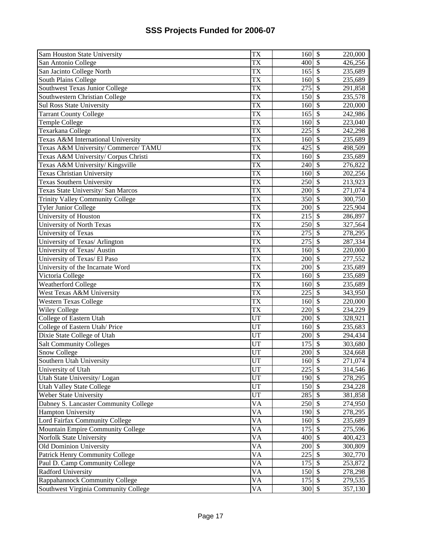| Sam Houston State University            | <b>TX</b>              | 160              | $\boldsymbol{\mathsf{S}}$ | 220,000 |
|-----------------------------------------|------------------------|------------------|---------------------------|---------|
| San Antonio College                     | <b>TX</b>              | 400              | $\mathcal{S}$             | 426,256 |
| San Jacinto College North               | <b>TX</b>              | 165              | $\overline{\mathcal{S}}$  | 235,689 |
| South Plains College                    | <b>TX</b>              | 160              | $\overline{\mathcal{S}}$  | 235,689 |
| Southwest Texas Junior College          | <b>TX</b>              | 275              | $\overline{\mathcal{S}}$  | 291,858 |
| Southwestern Christian College          | <b>TX</b>              | 150              | $\overline{\mathcal{S}}$  | 235,578 |
| <b>Sul Ross State University</b>        | <b>TX</b>              | 160              | $\mathcal{S}$             | 220,000 |
| <b>Tarrant County College</b>           | <b>TX</b>              | 165              | $\mathcal{S}$             | 242,986 |
| Temple College                          | <b>TX</b>              | 160              | $\overline{\mathcal{S}}$  | 223,040 |
| Texarkana College                       | <b>TX</b>              | 225              | \$                        | 242,298 |
| Texas A&M International University      | <b>TX</b>              | 160              | $\mathcal{S}$             | 235,689 |
| Texas A&M University/ Commerce/ TAMU    | <b>TX</b>              | 425              | \$                        | 498,509 |
| Texas A&M University/ Corpus Christi    | <b>TX</b>              | 160              | $\overline{\mathcal{S}}$  | 235,689 |
| Texas A&M University/ Kingsville        | $\overline{\text{TX}}$ | 240              | $\overline{\mathcal{S}}$  | 276,822 |
| <b>Texas Christian University</b>       | $\overline{TX}$        | 160              | $\overline{\mathcal{S}}$  | 202,256 |
| <b>Texas Southern University</b>        | <b>TX</b>              | 250              | $\overline{\mathcal{S}}$  | 213,923 |
| Texas State University/ San Marcos      | <b>TX</b>              | 200              | $\overline{\$}$           | 271,074 |
| <b>Trinity Valley Community College</b> | <b>TX</b>              | 350              | $\overline{\$}$           | 300,750 |
| <b>Tyler Junior College</b>             | <b>TX</b>              | 200              | \$                        | 225,904 |
| University of Houston                   | <b>TX</b>              | 215              | $\overline{\mathcal{S}}$  | 286,897 |
| University of North Texas               | <b>TX</b>              | 250              | \$                        | 327,564 |
| University of Texas                     | <b>TX</b>              | 275              | \$                        | 278,295 |
| University of Texas/ Arlington          | $\overline{TX}$        | 275              | \$                        | 287,334 |
| University of Texas/ Austin             | <b>TX</b>              | 160              | $\mathcal{S}$             | 220,000 |
| University of Texas/ El Paso            | <b>TX</b>              | 200              | $\mathcal{S}$             | 277,552 |
| University of the Incarnate Word        | <b>TX</b>              | 200              | $\overline{\mathcal{S}}$  | 235,689 |
| Victoria College                        | <b>TX</b>              | 160              | $\mathcal{S}$             | 235,689 |
| Weatherford College                     | <b>TX</b>              | 160              | $\overline{\mathcal{S}}$  | 235,689 |
| West Texas A&M University               | <b>TX</b>              | $\overline{225}$ | $\overline{\mathcal{S}}$  | 343,950 |
| <b>Western Texas College</b>            | <b>TX</b>              | 160              | $\overline{\$}$           | 220,000 |
| <b>Wiley College</b>                    | <b>TX</b>              | 220              | $\overline{\mathcal{S}}$  | 234,229 |
| College of Eastern Utah                 | UT                     | 200              | $\overline{\mathcal{S}}$  | 328,921 |
| College of Eastern Utah/Price           | UT                     | 160              | $\overline{\mathcal{S}}$  | 235,683 |
| Dixie State College of Utah             | UT                     | 200              | $\overline{\mathcal{S}}$  | 294,434 |
| <b>Salt Community Colleges</b>          | UT                     | 175              | $\overline{\$}$           | 303,680 |
| Snow College                            | UT                     | 200              | $\overline{\mathcal{S}}$  | 324,668 |
| Southern Utah University                | UT                     | 160S             |                           | 271,074 |
| University of Utah                      | <b>UT</b>              | 225              | $\mathcal{S}$             | 314,546 |
| Utah State University/ Logan            | UT                     | 190              | $\mathcal{S}$             | 278,295 |
| <b>Utah Valley State College</b>        | <b>UT</b>              | 150              | $\mathcal{S}$             | 234,228 |
| Weber State University                  | <b>UT</b>              | 285              | $\mathcal{S}$             | 381,858 |
| Dabney S. Lancaster Community College   | <b>VA</b>              | 250              | $\overline{\mathcal{S}}$  | 274,950 |
| <b>Hampton University</b>               | <b>VA</b>              | 190              | $\mathcal{S}$             | 278,295 |
| Lord Fairfax Community College          | <b>VA</b>              | 160              | $\mathcal{S}$             | 235,689 |
| Mountain Empire Community College       | <b>VA</b>              | 175              | $\overline{\mathcal{S}}$  | 275,596 |
| Norfolk State University                | <b>VA</b>              | 400              | $\overline{\mathcal{S}}$  | 400,423 |
| Old Dominion University                 | <b>VA</b>              | 200              | $\overline{\mathcal{S}}$  | 300,809 |
| Patrick Henry Community College         | <b>VA</b>              | 225              | $\overline{\$}$           | 302,770 |
| Paul D. Camp Community College          | <b>VA</b>              | 175              | $\overline{\mathcal{S}}$  | 253,872 |
| <b>Radford University</b>               | <b>VA</b>              | 150              | $\overline{\mathcal{S}}$  | 278,298 |
| Rappahannock Community College          | <b>VA</b>              | 175              | $\overline{\mathcal{S}}$  | 279,535 |
| Southwest Virginia Community College    | <b>VA</b>              | 300              | $\mathsf{\$}$             | 357,130 |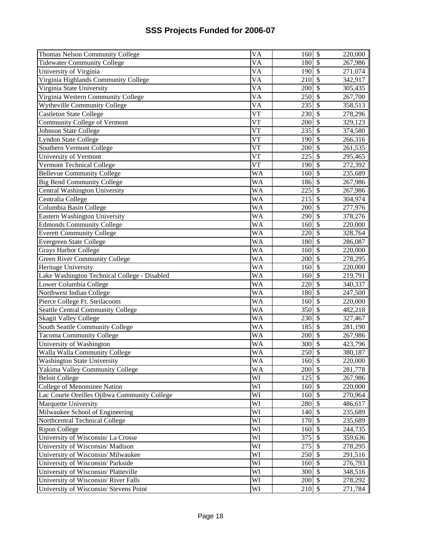| Thomas Nelson Community College              | $\overline{VA}$        | 160      | $\mathbb{S}$              | 220,000 |
|----------------------------------------------|------------------------|----------|---------------------------|---------|
| <b>Tidewater Community College</b>           | VA                     | 180      | \$                        | 267,986 |
| University of Virginia                       | $\overline{\text{VA}}$ | 190      | $\overline{\mathcal{S}}$  | 271,074 |
| Virginia Highlands Community College         | $\overline{VA}$        | 210      | \$                        | 342,917 |
| Virginia State University                    | VA                     | 200      | $\mathcal{S}$             | 305,435 |
| Virginia Western Community College           | <b>VA</b>              | 250      | $\overline{\$}$           | 267,700 |
| <b>Wytheville Community College</b>          | <b>VA</b>              | 235      | $\overline{\$}$           | 358,513 |
| Castleton State College                      | <b>VT</b>              | 230      | \$                        | 278,296 |
| <b>Community College of Vermont</b>          | $\overline{\text{VT}}$ | 200      | \$                        | 329,123 |
| Johnson State College                        | <b>VT</b>              | 235      | \$                        | 374,580 |
| Lyndon State College                         | $\overline{\text{VT}}$ | 190      | $\overline{\mathcal{S}}$  | 266,316 |
| Southern Vermont College                     | $\overline{\text{VT}}$ | 200      | $\overline{\$}$           | 261,535 |
| University of Vermont                        | $\overline{\text{VT}}$ | 225      | $\overline{\$}$           | 295,465 |
| Vermont Technical College                    | <b>VT</b>              | 190      | $\overline{\$}$           | 272,392 |
| <b>Bellevue Community College</b>            | <b>WA</b>              | 160      | $\overline{\$}$           | 235,689 |
| <b>Big Bend Community College</b>            | <b>WA</b>              | 186      | $\overline{\$}$           | 267,986 |
| Central Washington University                | <b>WA</b>              | 225      | \$                        | 267,986 |
| Centralia College                            | <b>WA</b>              | 215      | \$                        | 304,974 |
| Columbia Basin College                       | <b>WA</b>              | 200      | \$                        | 277,976 |
| Eastern Washington University                | <b>WA</b>              | 290      | \$                        | 378,276 |
| <b>Edmonds Community College</b>             | <b>WA</b>              | 160      | \$                        | 220,000 |
| <b>Everett Community College</b>             | <b>WA</b>              | 220      | \$                        | 328,764 |
| Evergreen State College                      | <b>WA</b>              | 180      | \$                        | 286,087 |
| Grays Harbor College                         | <b>WA</b>              | 160      | \$                        | 220,000 |
| <b>Green River Community College</b>         | <b>WA</b>              | 200      | \$                        | 278,295 |
| Heritage University                          | <b>WA</b>              | 160      | \$                        | 220,000 |
| Lake Washington Technical College - Disabled | <b>WA</b>              | 160      | $\overline{\$}$           | 219,791 |
| Lower Columbia College                       | <b>WA</b>              | 220      | $\overline{\$}$           | 340,337 |
| Northwest Indian College                     | <b>WA</b>              | 180      | $\overline{\$}$           | 247,500 |
| Pierce College Ft. Steilacoom                | <b>WA</b>              | 160      | $\overline{\$}$           | 220,000 |
| <b>Seattle Central Community College</b>     | <b>WA</b>              | 350      | $\sqrt{\frac{2}{\pi}}$    | 482,218 |
| <b>Skagit Valley College</b>                 | <b>WA</b>              | 230      | $\overline{\$}$           | 327,467 |
| South Seattle Community College              | <b>WA</b>              | 185      | $\overline{\$}$           | 281,190 |
| <b>Tacoma Community College</b>              | <b>WA</b>              | 200      | $\overline{\mathcal{S}}$  | 267,986 |
| University of Washington                     | <b>WA</b>              | 300      | $\$\,$                    | 423,796 |
| Walla Walla Community College                | <b>WA</b>              | 250      | \$                        | 380,187 |
| <b>Washington State University</b>           | WA                     | 160 \$   |                           | 220,000 |
| Yakima Valley Community College              | <b>WA</b>              | 200      | $\mathcal{S}$             | 281,778 |
| <b>Beloit College</b>                        | WI                     | $125$ \$ |                           | 267,986 |
| College of Menominee Nation                  | WI                     | 160      | $\mathcal{S}$             | 220,000 |
| Lac Courte Oreilles Ojibwa Community College | WI                     | 160      | $\mathcal{S}$             | 270,964 |
| Marquette University                         | WI                     | 280      | $\mathcal{S}$             | 486,617 |
| Milwaukee School of Engineering              | WI                     | 140      | $\overline{\mathcal{S}}$  | 235,689 |
| Northcentral Technical College               | WI                     | 170      | $\overline{\mathcal{S}}$  | 235,689 |
| Ripon College                                | WI                     | 160      | $\overline{\$}$           | 244,735 |
| University of Wisconsin/ La Crosse           | WI                     | 375      | $\overline{\$}$           | 359,636 |
| University of Wisconsin/ Madison             | WI                     | 275      | $\overline{\$}$           | 278,295 |
| University of Wisconsin/ Milwaukee           | WI                     | 250      | $\overline{\$}$           | 291,516 |
| University of Wisconsin/ Parkside            | WI                     | 160      | $\overline{\$}$           | 276,793 |
| University of Wisconsin/Platteville          | WI                     | 300      | $\boldsymbol{\mathsf{S}}$ | 348,516 |
| University of Wisconsin/River Falls          | WI                     | 200      | $\boldsymbol{\mathsf{S}}$ | 278,292 |
| University of Wisconsin/ Stevens Point       | WI                     | 210      | $\mathcal{S}$             | 271,784 |